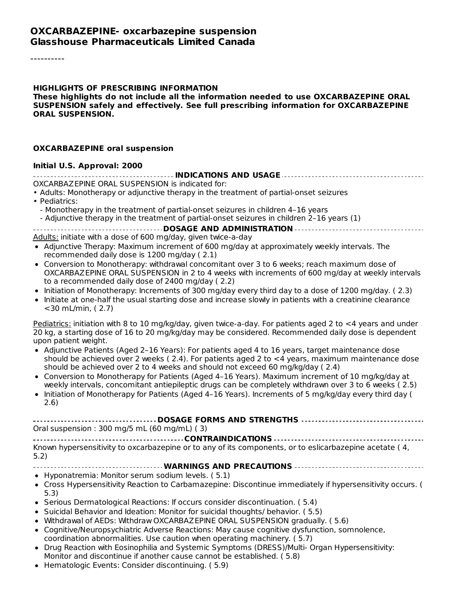#### **OXCARBAZEPINE- oxcarbazepine suspension Glasshouse Pharmaceuticals Limited Canada**

----------

#### **HIGHLIGHTS OF PRESCRIBING INFORMATION These highlights do not include all the information needed to use OXCARBAZEPINE ORAL SUSPENSION safely and effectively. See full prescribing information for OXCARBAZEPINE ORAL SUSPENSION.**

#### **OXCARBAZEPINE oral suspension**

#### **Initial U.S. Approval: 2000**

**INDICATIONS AND USAGE** OXCARBAZEPINE ORAL SUSPENSION is indicated for: • Adults: Monotherapy or adjunctive therapy in the treatment of partial-onset seizures • Pediatrics: - Monotherapy in the treatment of partial-onset seizures in children 4–16 years - Adjunctive therapy in the treatment of partial-onset seizures in children 2–16 years (1) **DOSAGE AND ADMINISTRATION** Adults: initiate with a dose of 600 mg/day, given twice-a-day Adjunctive Therapy: Maximum increment of 600 mg/day at approximately weekly intervals. The recommended daily dose is 1200 mg/day ( 2.1) Conversion to Monotherapy: withdrawal concomitant over 3 to 6 weeks; reach maximum dose of OXCARBAZEPINE ORAL SUSPENSION in 2 to 4 weeks with increments of 600 mg/day at weekly intervals to a recommended daily dose of 2400 mg/day ( 2.2) Initiation of Monotherapy: Increments of 300 mg/day every third day to a dose of 1200 mg/day. (2.3) Initiate at one-half the usual starting dose and increase slowly in patients with a creatinine clearance <30 mL/min, ( 2.7) Pediatrics: initiation with 8 to 10 mg/kg/day, given twice-a-day. For patients aged 2 to  $\lt 4$  years and under 20 kg, a starting dose of 16 to 20 mg/kg/day may be considered. Recommended daily dose is dependent upon patient weight. Adjunctive Patients (Aged 2–16 Years): For patients aged 4 to 16 years, target maintenance dose should be achieved over 2 weeks ( 2.4). For patients aged 2 to <4 years, maximum maintenance dose should be achieved over 2 to 4 weeks and should not exceed 60 mg/kg/day ( 2.4) Conversion to Monotherapy for Patients (Aged 4–16 Years). Maximum increment of 10 mg/kg/day at weekly intervals, concomitant antiepileptic drugs can be completely withdrawn over 3 to 6 weeks ( 2.5) Initiation of Monotherapy for Patients (Aged 4–16 Years). Increments of 5 mg/kg/day every third day (  $\bullet$ 2.6) **DOSAGE FORMS AND STRENGTHS** Oral suspension : 300 mg/5 mL (60 mg/mL) ( 3) **CONTRAINDICATIONS** Known hypersensitivity to oxcarbazepine or to any of its components, or to eslicarbazepine acetate ( 4, 5.2) **WARNINGS AND PRECAUTIONS** Hyponatremia: Monitor serum sodium levels. ( 5.1) Cross Hypersensitivity Reaction to Carbamazepine: Discontinue immediately if hypersensitivity occurs. ( 5.3) • Serious Dermatological Reactions: If occurs consider discontinuation. (5.4) • Suicidal Behavior and Ideation: Monitor for suicidal thoughts/ behavior. (5.5) Withdrawal of AEDs: Withdraw OXCARBAZEPINE ORAL SUSPENSION gradually. ( 5.6) Cognitive/Neuropsychiatric Adverse Reactions: May cause cognitive dysfunction, somnolence, coordination abnormalities. Use caution when operating machinery. ( 5.7)

- Drug Reaction with Eosinophilia and Systemic Symptoms (DRESS)/Multi- Organ Hypersensitivity: Monitor and discontinue if another cause cannot be established. ( 5.8)
- Hematologic Events: Consider discontinuing. ( 5.9)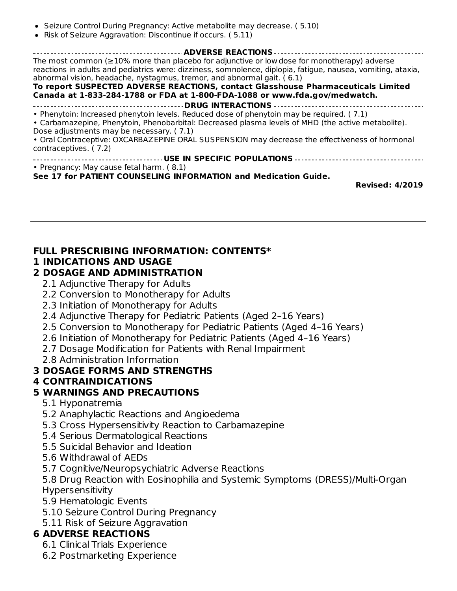- Seizure Control During Pregnancy: Active metabolite may decrease. (5.10)
- Risk of Seizure Aggravation: Discontinue if occurs. ( 5.11)

**ADVERSE REACTIONS** The most common (≥10% more than placebo for adjunctive or low dose for monotherapy) adverse reactions in adults and pediatrics were: dizziness, somnolence, diplopia, fatigue, nausea, vomiting, ataxia, abnormal vision, headache, nystagmus, tremor, and abnormal gait. ( 6.1) **To report SUSPECTED ADVERSE REACTIONS, contact Glasshouse Pharmaceuticals Limited Canada at 1-833-284-1788 or FDA at 1-800-FDA-1088 or www.fda.gov/medwatch. DRUG INTERACTIONS**

• Phenytoin: Increased phenytoin levels. Reduced dose of phenytoin may be required. ( 7.1)

• Carbamazepine, Phenytoin, Phenobarbital: Decreased plasma levels of MHD (the active metabolite). Dose adjustments may be necessary. ( 7.1)

• Oral Contraceptive: OXCARBAZEPINE ORAL SUSPENSION may decrease the effectiveness of hormonal contraceptives. ( 7.2)

**USE IN SPECIFIC POPULATIONS**

• Pregnancy: May cause fetal harm. ( 8.1)

**See 17 for PATIENT COUNSELING INFORMATION and Medication Guide.**

**Revised: 4/2019**

#### **FULL PRESCRIBING INFORMATION: CONTENTS\***

#### **1 INDICATIONS AND USAGE**

### **2 DOSAGE AND ADMINISTRATION**

- 2.1 Adjunctive Therapy for Adults
- 2.2 Conversion to Monotherapy for Adults
- 2.3 Initiation of Monotherapy for Adults
- 2.4 Adjunctive Therapy for Pediatric Patients (Aged 2–16 Years)
- 2.5 Conversion to Monotherapy for Pediatric Patients (Aged 4–16 Years)
- 2.6 Initiation of Monotherapy for Pediatric Patients (Aged 4–16 Years)
- 2.7 Dosage Modification for Patients with Renal Impairment
- 2.8 Administration Information

### **3 DOSAGE FORMS AND STRENGTHS**

#### **4 CONTRAINDICATIONS**

### **5 WARNINGS AND PRECAUTIONS**

- 5.1 Hyponatremia
- 5.2 Anaphylactic Reactions and Angioedema
- 5.3 Cross Hypersensitivity Reaction to Carbamazepine
- 5.4 Serious Dermatological Reactions
- 5.5 Suicidal Behavior and Ideation
- 5.6 Withdrawal of AEDs
- 5.7 Cognitive/Neuropsychiatric Adverse Reactions

5.8 Drug Reaction with Eosinophilia and Systemic Symptoms (DRESS)/Multi-Organ Hypersensitivity

- 5.9 Hematologic Events
- 5.10 Seizure Control During Pregnancy
- 5.11 Risk of Seizure Aggravation

#### **6 ADVERSE REACTIONS**

- 6.1 Clinical Trials Experience
- 6.2 Postmarketing Experience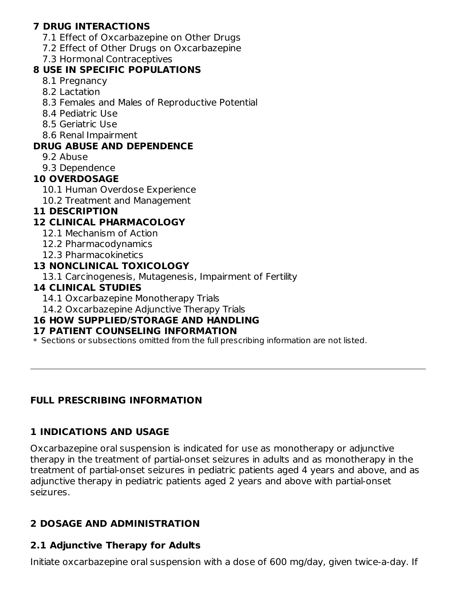### **7 DRUG INTERACTIONS**

- 7.1 Effect of Oxcarbazepine on Other Drugs
- 7.2 Effect of Other Drugs on Oxcarbazepine
- 7.3 Hormonal Contraceptives

### **8 USE IN SPECIFIC POPULATIONS**

- 8.1 Pregnancy
- 8.2 Lactation
- 8.3 Females and Males of Reproductive Potential
- 8.4 Pediatric Use
- 8.5 Geriatric Use
- 8.6 Renal Impairment

## **DRUG ABUSE AND DEPENDENCE**

- 9.2 Abuse
- 9.3 Dependence

## **10 OVERDOSAGE**

- 10.1 Human Overdose Experience
- 10.2 Treatment and Management

## **11 DESCRIPTION**

## **12 CLINICAL PHARMACOLOGY**

- 12.1 Mechanism of Action
- 12.2 Pharmacodynamics
- 12.3 Pharmacokinetics

## **13 NONCLINICAL TOXICOLOGY**

13.1 Carcinogenesis, Mutagenesis, Impairment of Fertility

## **14 CLINICAL STUDIES**

- 14.1 Oxcarbazepine Monotherapy Trials
- 14.2 Oxcarbazepine Adjunctive Therapy Trials

## **16 HOW SUPPLIED/STORAGE AND HANDLING**

### **17 PATIENT COUNSELING INFORMATION**

\* Sections or subsections omitted from the full prescribing information are not listed.

## **FULL PRESCRIBING INFORMATION**

## **1 INDICATIONS AND USAGE**

Oxcarbazepine oral suspension is indicated for use as monotherapy or adjunctive therapy in the treatment of partial-onset seizures in adults and as monotherapy in the treatment of partial-onset seizures in pediatric patients aged 4 years and above, and as adjunctive therapy in pediatric patients aged 2 years and above with partial-onset seizures.

## **2 DOSAGE AND ADMINISTRATION**

# **2.1 Adjunctive Therapy for Adults**

Initiate oxcarbazepine oral suspension with a dose of 600 mg/day, given twice-a-day. If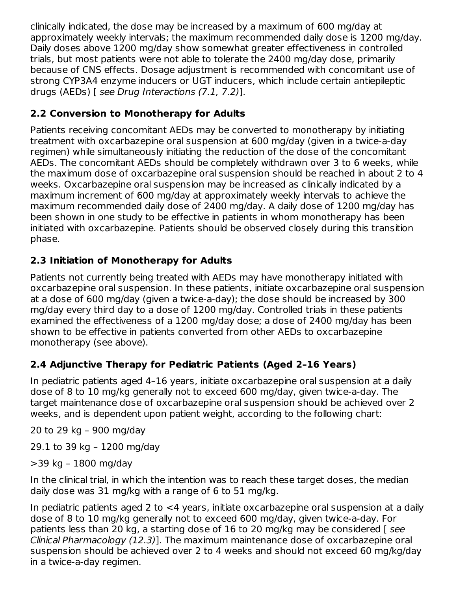clinically indicated, the dose may be increased by a maximum of 600 mg/day at approximately weekly intervals; the maximum recommended daily dose is 1200 mg/day. Daily doses above 1200 mg/day show somewhat greater effectiveness in controlled trials, but most patients were not able to tolerate the 2400 mg/day dose, primarily because of CNS effects. Dosage adjustment is recommended with concomitant use of strong CYP3A4 enzyme inducers or UGT inducers, which include certain antiepileptic drugs (AEDs) [ see Drug Interactions (7.1, 7.2)].

## **2.2 Conversion to Monotherapy for Adults**

Patients receiving concomitant AEDs may be converted to monotherapy by initiating treatment with oxcarbazepine oral suspension at 600 mg/day (given in a twice-a-day regimen) while simultaneously initiating the reduction of the dose of the concomitant AEDs. The concomitant AEDs should be completely withdrawn over 3 to 6 weeks, while the maximum dose of oxcarbazepine oral suspension should be reached in about 2 to 4 weeks. Oxcarbazepine oral suspension may be increased as clinically indicated by a maximum increment of 600 mg/day at approximately weekly intervals to achieve the maximum recommended daily dose of 2400 mg/day. A daily dose of 1200 mg/day has been shown in one study to be effective in patients in whom monotherapy has been initiated with oxcarbazepine. Patients should be observed closely during this transition phase.

## **2.3 Initiation of Monotherapy for Adults**

Patients not currently being treated with AEDs may have monotherapy initiated with oxcarbazepine oral suspension. In these patients, initiate oxcarbazepine oral suspension at a dose of 600 mg/day (given a twice-a-day); the dose should be increased by 300 mg/day every third day to a dose of 1200 mg/day. Controlled trials in these patients examined the effectiveness of a 1200 mg/day dose; a dose of 2400 mg/day has been shown to be effective in patients converted from other AEDs to oxcarbazepine monotherapy (see above).

## **2.4 Adjunctive Therapy for Pediatric Patients (Aged 2–16 Years)**

In pediatric patients aged 4–16 years, initiate oxcarbazepine oral suspension at a daily dose of 8 to 10 mg/kg generally not to exceed 600 mg/day, given twice-a-day. The target maintenance dose of oxcarbazepine oral suspension should be achieved over 2 weeks, and is dependent upon patient weight, according to the following chart:

20 to 29 kg – 900 mg/day

29.1 to 39 kg – 1200 mg/day

>39 kg – 1800 mg/day

In the clinical trial, in which the intention was to reach these target doses, the median daily dose was 31 mg/kg with a range of 6 to 51 mg/kg.

In pediatric patients aged 2 to <4 years, initiate oxcarbazepine oral suspension at a daily dose of 8 to 10 mg/kg generally not to exceed 600 mg/day, given twice-a-day. For patients less than 20 kg, a starting dose of 16 to 20 mg/kg may be considered [ see Clinical Pharmacology (12.3)]. The maximum maintenance dose of oxcarbazepine oral suspension should be achieved over 2 to 4 weeks and should not exceed 60 mg/kg/day in a twice-a-day regimen.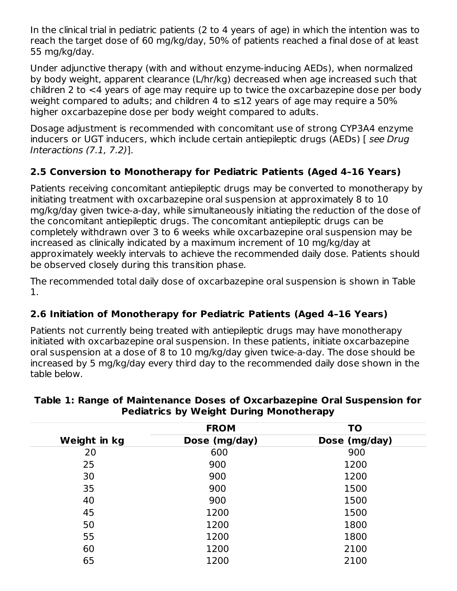In the clinical trial in pediatric patients (2 to 4 years of age) in which the intention was to reach the target dose of 60 mg/kg/day, 50% of patients reached a final dose of at least 55 mg/kg/day.

Under adjunctive therapy (with and without enzyme-inducing AEDs), when normalized by body weight, apparent clearance (L/hr/kg) decreased when age increased such that children 2 to <4 years of age may require up to twice the oxcarbazepine dose per body weight compared to adults; and children 4 to  $\leq$ 12 years of age may require a 50% higher oxcarbazepine dose per body weight compared to adults.

Dosage adjustment is recommended with concomitant use of strong CYP3A4 enzyme inducers or UGT inducers, which include certain antiepileptic drugs (AEDs) [ see Drug Interactions (7.1, 7.2)].

## **2.5 Conversion to Monotherapy for Pediatric Patients (Aged 4–16 Years)**

Patients receiving concomitant antiepileptic drugs may be converted to monotherapy by initiating treatment with oxcarbazepine oral suspension at approximately 8 to 10 mg/kg/day given twice-a-day, while simultaneously initiating the reduction of the dose of the concomitant antiepileptic drugs. The concomitant antiepileptic drugs can be completely withdrawn over 3 to 6 weeks while oxcarbazepine oral suspension may be increased as clinically indicated by a maximum increment of 10 mg/kg/day at approximately weekly intervals to achieve the recommended daily dose. Patients should be observed closely during this transition phase.

The recommended total daily dose of oxcarbazepine oral suspension is shown in Table 1.

## **2.6 Initiation of Monotherapy for Pediatric Patients (Aged 4–16 Years)**

Patients not currently being treated with antiepileptic drugs may have monotherapy initiated with oxcarbazepine oral suspension. In these patients, initiate oxcarbazepine oral suspension at a dose of 8 to 10 mg/kg/day given twice-a-day. The dose should be increased by 5 mg/kg/day every third day to the recommended daily dose shown in the table below.

|              | <b>FROM</b>   | TO            |
|--------------|---------------|---------------|
| Weight in kg | Dose (mg/day) | Dose (mg/day) |
| 20           | 600           | 900           |
| 25           | 900           | 1200          |
| 30           | 900           | 1200          |
| 35           | 900           | 1500          |
| 40           | 900           | 1500          |
| 45           | 1200          | 1500          |
| 50           | 1200          | 1800          |
| 55           | 1200          | 1800          |
| 60           | 1200          | 2100          |
| 65           | 1200          | 2100          |

#### **Table 1: Range of Maintenance Doses of Oxcarbazepine Oral Suspension for Pediatrics by Weight During Monotherapy**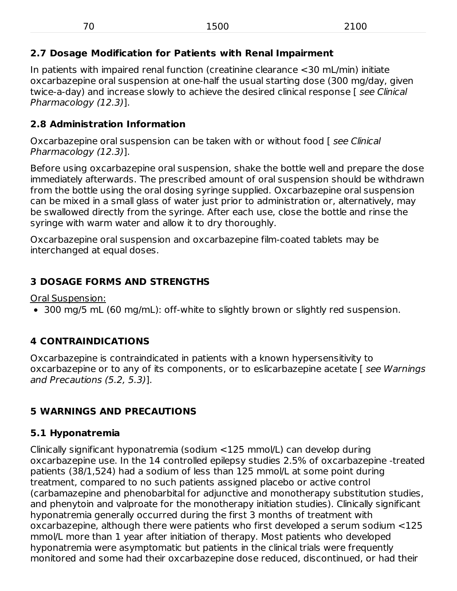## **2.7 Dosage Modification for Patients with Renal Impairment**

In patients with impaired renal function (creatinine clearance <30 mL/min) initiate oxcarbazepine oral suspension at one-half the usual starting dose (300 mg/day, given twice-a-day) and increase slowly to achieve the desired clinical response [see Clinical Pharmacology (12.3)].

## **2.8 Administration Information**

Oxcarbazepine oral suspension can be taken with or without food [ see Clinical Pharmacology (12.3)].

Before using oxcarbazepine oral suspension, shake the bottle well and prepare the dose immediately afterwards. The prescribed amount of oral suspension should be withdrawn from the bottle using the oral dosing syringe supplied. Oxcarbazepine oral suspension can be mixed in a small glass of water just prior to administration or, alternatively, may be swallowed directly from the syringe. After each use, close the bottle and rinse the syringe with warm water and allow it to dry thoroughly.

Oxcarbazepine oral suspension and oxcarbazepine film-coated tablets may be interchanged at equal doses.

## **3 DOSAGE FORMS AND STRENGTHS**

Oral Suspension:

300 mg/5 mL (60 mg/mL): off-white to slightly brown or slightly red suspension.

# **4 CONTRAINDICATIONS**

Oxcarbazepine is contraindicated in patients with a known hypersensitivity to oxcarbazepine or to any of its components, or to eslicarbazepine acetate [ see Warnings and Precautions (5.2, 5.3)].

# **5 WARNINGS AND PRECAUTIONS**

## **5.1 Hyponatremia**

Clinically significant hyponatremia (sodium <125 mmol/L) can develop during oxcarbazepine use. In the 14 controlled epilepsy studies 2.5% of oxcarbazepine -treated patients (38/1,524) had a sodium of less than 125 mmol/L at some point during treatment, compared to no such patients assigned placebo or active control (carbamazepine and phenobarbital for adjunctive and monotherapy substitution studies, and phenytoin and valproate for the monotherapy initiation studies). Clinically significant hyponatremia generally occurred during the first 3 months of treatment with oxcarbazepine, although there were patients who first developed a serum sodium <125 mmol/L more than 1 year after initiation of therapy. Most patients who developed hyponatremia were asymptomatic but patients in the clinical trials were frequently monitored and some had their oxcarbazepine dose reduced, discontinued, or had their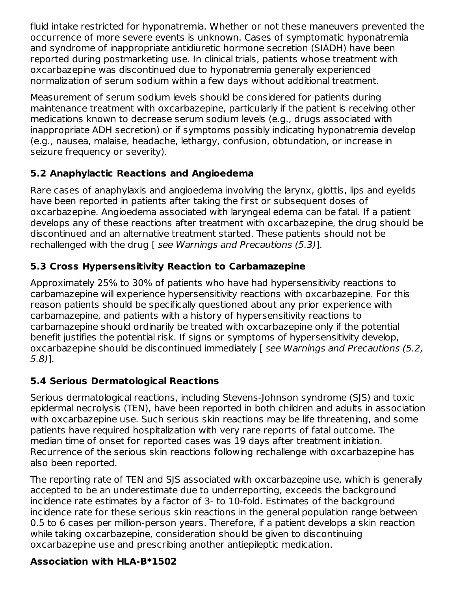fluid intake restricted for hyponatremia. Whether or not these maneuvers prevented the occurrence of more severe events is unknown. Cases of symptomatic hyponatremia and syndrome of inappropriate antidiuretic hormone secretion (SIADH) have been reported during postmarketing use. In clinical trials, patients whose treatment with oxcarbazepine was discontinued due to hyponatremia generally experienced normalization of serum sodium within a few days without additional treatment.

Measurement of serum sodium levels should be considered for patients during maintenance treatment with oxcarbazepine, particularly if the patient is receiving other medications known to decrease serum sodium levels (e.g., drugs associated with inappropriate ADH secretion) or if symptoms possibly indicating hyponatremia develop (e.g., nausea, malaise, headache, lethargy, confusion, obtundation, or increase in seizure frequency or severity).

## **5.2 Anaphylactic Reactions and Angioedema**

Rare cases of anaphylaxis and angioedema involving the larynx, glottis, lips and eyelids have been reported in patients after taking the first or subsequent doses of oxcarbazepine. Angioedema associated with laryngeal edema can be fatal. If a patient develops any of these reactions after treatment with oxcarbazepine, the drug should be discontinued and an alternative treatment started. These patients should not be rechallenged with the drug [ see Warnings and Precautions (5.3)].

## **5.3 Cross Hypersensitivity Reaction to Carbamazepine**

Approximately 25% to 30% of patients who have had hypersensitivity reactions to carbamazepine will experience hypersensitivity reactions with oxcarbazepine. For this reason patients should be specifically questioned about any prior experience with carbamazepine, and patients with a history of hypersensitivity reactions to carbamazepine should ordinarily be treated with oxcarbazepine only if the potential benefit justifies the potential risk. If signs or symptoms of hypersensitivity develop, oxcarbazepine should be discontinued immediately [ see Warnings and Precautions (5.2, 5.8)].

## **5.4 Serious Dermatological Reactions**

Serious dermatological reactions, including Stevens-Johnson syndrome (SJS) and toxic epidermal necrolysis (TEN), have been reported in both children and adults in association with oxcarbazepine use. Such serious skin reactions may be life threatening, and some patients have required hospitalization with very rare reports of fatal outcome. The median time of onset for reported cases was 19 days after treatment initiation. Recurrence of the serious skin reactions following rechallenge with oxcarbazepine has also been reported.

The reporting rate of TEN and SJS associated with oxcarbazepine use, which is generally accepted to be an underestimate due to underreporting, exceeds the background incidence rate estimates by a factor of 3- to 10-fold. Estimates of the background incidence rate for these serious skin reactions in the general population range between 0.5 to 6 cases per million-person years. Therefore, if a patient develops a skin reaction while taking oxcarbazepine, consideration should be given to discontinuing oxcarbazepine use and prescribing another antiepileptic medication.

## **Association with HLA-B\*1502**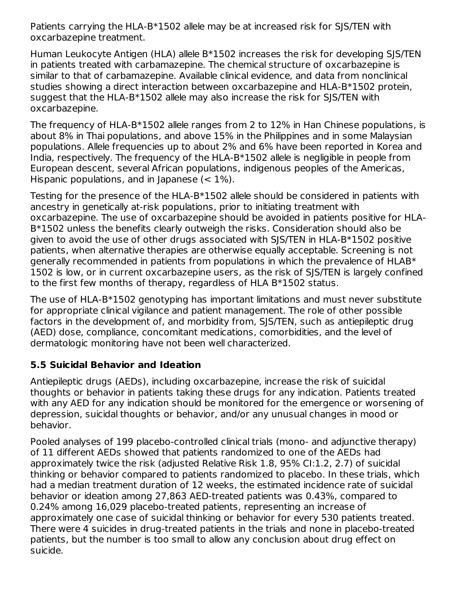Patients carrying the HLA-B\*1502 allele may be at increased risk for SJS/TEN with oxcarbazepine treatment.

Human Leukocyte Antigen (HLA) allele B\*1502 increases the risk for developing SJS/TEN in patients treated with carbamazepine. The chemical structure of oxcarbazepine is similar to that of carbamazepine. Available clinical evidence, and data from nonclinical studies showing a direct interaction between oxcarbazepine and HLA-B\*1502 protein, suggest that the HLA-B\*1502 allele may also increase the risk for SJS/TEN with oxcarbazepine.

The frequency of HLA-B\*1502 allele ranges from 2 to 12% in Han Chinese populations, is about 8% in Thai populations, and above 15% in the Philippines and in some Malaysian populations. Allele frequencies up to about 2% and 6% have been reported in Korea and India, respectively. The frequency of the HLA-B\*1502 allele is negligible in people from European descent, several African populations, indigenous peoples of the Americas, Hispanic populations, and in Japanese  $(< 1\%)$ .

Testing for the presence of the HLA-B\*1502 allele should be considered in patients with ancestry in genetically at-risk populations, prior to initiating treatment with oxcarbazepine. The use of oxcarbazepine should be avoided in patients positive for HLA-B\*1502 unless the benefits clearly outweigh the risks. Consideration should also be given to avoid the use of other drugs associated with SJS/TEN in HLA-B\*1502 positive patients, when alternative therapies are otherwise equally acceptable. Screening is not generally recommended in patients from populations in which the prevalence of HLAB\* 1502 is low, or in current oxcarbazepine users, as the risk of SJS/TEN is largely confined to the first few months of therapy, regardless of HLA B\*1502 status.

The use of HLA-B\*1502 genotyping has important limitations and must never substitute for appropriate clinical vigilance and patient management. The role of other possible factors in the development of, and morbidity from, SJS/TEN, such as antiepileptic drug (AED) dose, compliance, concomitant medications, comorbidities, and the level of dermatologic monitoring have not been well characterized.

### **5.5 Suicidal Behavior and Ideation**

Antiepileptic drugs (AEDs), including oxcarbazepine, increase the risk of suicidal thoughts or behavior in patients taking these drugs for any indication. Patients treated with any AED for any indication should be monitored for the emergence or worsening of depression, suicidal thoughts or behavior, and/or any unusual changes in mood or behavior.

Pooled analyses of 199 placebo-controlled clinical trials (mono- and adjunctive therapy) of 11 different AEDs showed that patients randomized to one of the AEDs had approximately twice the risk (adjusted Relative Risk 1.8, 95% CI:1.2, 2.7) of suicidal thinking or behavior compared to patients randomized to placebo. In these trials, which had a median treatment duration of 12 weeks, the estimated incidence rate of suicidal behavior or ideation among 27,863 AED-treated patients was 0.43%, compared to 0.24% among 16,029 placebo-treated patients, representing an increase of approximately one case of suicidal thinking or behavior for every 530 patients treated. There were 4 suicides in drug-treated patients in the trials and none in placebo-treated patients, but the number is too small to allow any conclusion about drug effect on suicide.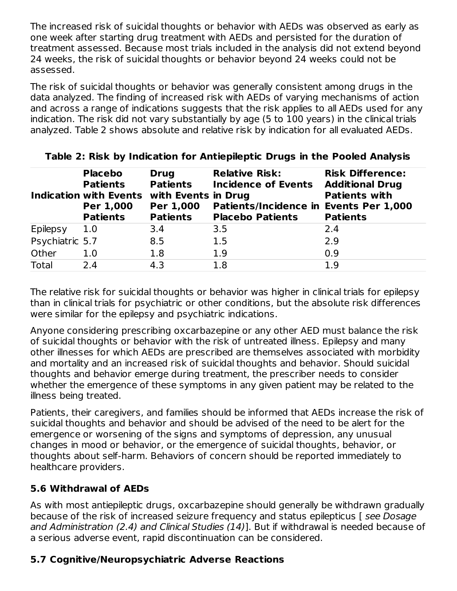The increased risk of suicidal thoughts or behavior with AEDs was observed as early as one week after starting drug treatment with AEDs and persisted for the duration of treatment assessed. Because most trials included in the analysis did not extend beyond 24 weeks, the risk of suicidal thoughts or behavior beyond 24 weeks could not be assessed.

The risk of suicidal thoughts or behavior was generally consistent among drugs in the data analyzed. The finding of increased risk with AEDs of varying mechanisms of action and across a range of indications suggests that the risk applies to all AEDs used for any indication. The risk did not vary substantially by age (5 to 100 years) in the clinical trials analyzed. Table 2 shows absolute and relative risk by indication for all evaluated AEDs.

|                 | <b>Placebo</b><br><b>Patients</b><br><b>Indication with Events</b><br>Per 1,000<br><b>Patients</b> | <b>Drug</b><br><b>Patients</b><br>with Events in Drug<br>Per 1,000<br><b>Patients</b> | <b>Relative Risk:</b><br><b>Incidence of Events</b><br>Patients/Incidence in Events Per 1,000<br><b>Placebo Patients</b> | <b>Risk Difference:</b><br><b>Additional Drug</b><br><b>Patients with</b><br><b>Patients</b> |
|-----------------|----------------------------------------------------------------------------------------------------|---------------------------------------------------------------------------------------|--------------------------------------------------------------------------------------------------------------------------|----------------------------------------------------------------------------------------------|
| Epilepsy        | 1.0                                                                                                | 3.4                                                                                   | 3.5                                                                                                                      | 2.4                                                                                          |
| Psychiatric 5.7 |                                                                                                    | 8.5                                                                                   | 1.5                                                                                                                      | 2.9                                                                                          |
| Other           | 1.0                                                                                                | 1.8                                                                                   | 1.9                                                                                                                      | 0.9                                                                                          |
| Total           | 2.4                                                                                                | 4.3                                                                                   | 1.8                                                                                                                      | 1.9                                                                                          |

#### **Table 2: Risk by Indication for Antiepileptic Drugs in the Pooled Analysis**

The relative risk for suicidal thoughts or behavior was higher in clinical trials for epilepsy than in clinical trials for psychiatric or other conditions, but the absolute risk differences were similar for the epilepsy and psychiatric indications.

Anyone considering prescribing oxcarbazepine or any other AED must balance the risk of suicidal thoughts or behavior with the risk of untreated illness. Epilepsy and many other illnesses for which AEDs are prescribed are themselves associated with morbidity and mortality and an increased risk of suicidal thoughts and behavior. Should suicidal thoughts and behavior emerge during treatment, the prescriber needs to consider whether the emergence of these symptoms in any given patient may be related to the illness being treated.

Patients, their caregivers, and families should be informed that AEDs increase the risk of suicidal thoughts and behavior and should be advised of the need to be alert for the emergence or worsening of the signs and symptoms of depression, any unusual changes in mood or behavior, or the emergence of suicidal thoughts, behavior, or thoughts about self-harm. Behaviors of concern should be reported immediately to healthcare providers.

### **5.6 Withdrawal of AEDs**

As with most antiepileptic drugs, oxcarbazepine should generally be withdrawn gradually because of the risk of increased seizure frequency and status epilepticus [ see Dosage and Administration (2.4) and Clinical Studies (14)]. But if withdrawal is needed because of a serious adverse event, rapid discontinuation can be considered.

### **5.7 Cognitive/Neuropsychiatric Adverse Reactions**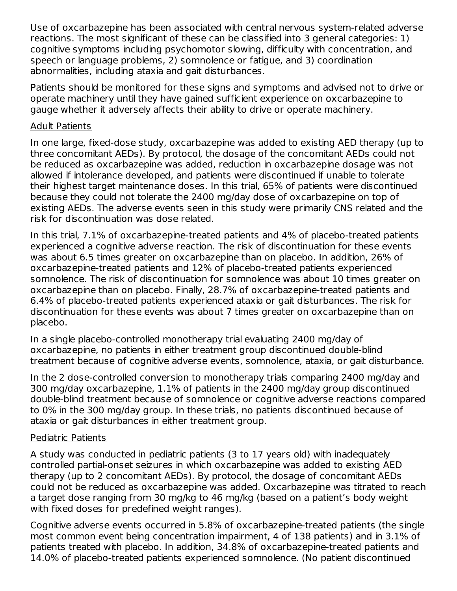Use of oxcarbazepine has been associated with central nervous system-related adverse reactions. The most significant of these can be classified into 3 general categories: 1) cognitive symptoms including psychomotor slowing, difficulty with concentration, and speech or language problems, 2) somnolence or fatigue, and 3) coordination abnormalities, including ataxia and gait disturbances.

Patients should be monitored for these signs and symptoms and advised not to drive or operate machinery until they have gained sufficient experience on oxcarbazepine to gauge whether it adversely affects their ability to drive or operate machinery.

#### Adult Patients

In one large, fixed-dose study, oxcarbazepine was added to existing AED therapy (up to three concomitant AEDs). By protocol, the dosage of the concomitant AEDs could not be reduced as oxcarbazepine was added, reduction in oxcarbazepine dosage was not allowed if intolerance developed, and patients were discontinued if unable to tolerate their highest target maintenance doses. In this trial, 65% of patients were discontinued because they could not tolerate the 2400 mg/day dose of oxcarbazepine on top of existing AEDs. The adverse events seen in this study were primarily CNS related and the risk for discontinuation was dose related.

In this trial, 7.1% of oxcarbazepine-treated patients and 4% of placebo-treated patients experienced a cognitive adverse reaction. The risk of discontinuation for these events was about 6.5 times greater on oxcarbazepine than on placebo. In addition, 26% of oxcarbazepine-treated patients and 12% of placebo-treated patients experienced somnolence. The risk of discontinuation for somnolence was about 10 times greater on oxcarbazepine than on placebo. Finally, 28.7% of oxcarbazepine-treated patients and 6.4% of placebo-treated patients experienced ataxia or gait disturbances. The risk for discontinuation for these events was about 7 times greater on oxcarbazepine than on placebo.

In a single placebo-controlled monotherapy trial evaluating 2400 mg/day of oxcarbazepine, no patients in either treatment group discontinued double-blind treatment because of cognitive adverse events, somnolence, ataxia, or gait disturbance.

In the 2 dose-controlled conversion to monotherapy trials comparing 2400 mg/day and 300 mg/day oxcarbazepine, 1.1% of patients in the 2400 mg/day group discontinued double-blind treatment because of somnolence or cognitive adverse reactions compared to 0% in the 300 mg/day group. In these trials, no patients discontinued because of ataxia or gait disturbances in either treatment group.

#### Pediatric Patients

A study was conducted in pediatric patients (3 to 17 years old) with inadequately controlled partial-onset seizures in which oxcarbazepine was added to existing AED therapy (up to 2 concomitant AEDs). By protocol, the dosage of concomitant AEDs could not be reduced as oxcarbazepine was added. Oxcarbazepine was titrated to reach a target dose ranging from 30 mg/kg to 46 mg/kg (based on a patient's body weight with fixed doses for predefined weight ranges).

Cognitive adverse events occurred in 5.8% of oxcarbazepine-treated patients (the single most common event being concentration impairment, 4 of 138 patients) and in 3.1% of patients treated with placebo. In addition, 34.8% of oxcarbazepine-treated patients and 14.0% of placebo-treated patients experienced somnolence. (No patient discontinued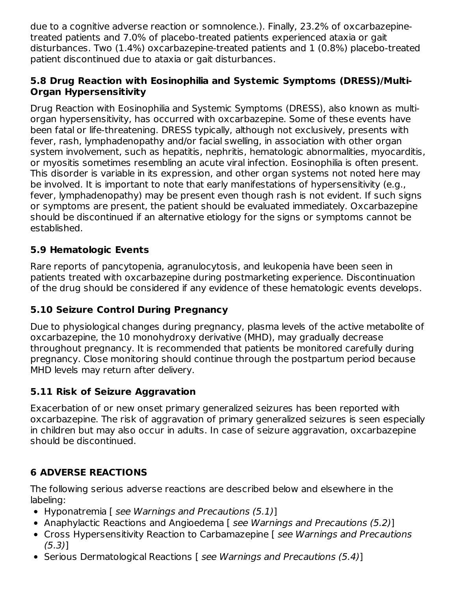due to a cognitive adverse reaction or somnolence.). Finally, 23.2% of oxcarbazepinetreated patients and 7.0% of placebo-treated patients experienced ataxia or gait disturbances. Two (1.4%) oxcarbazepine-treated patients and 1 (0.8%) placebo-treated patient discontinued due to ataxia or gait disturbances.

### **5.8 Drug Reaction with Eosinophilia and Systemic Symptoms (DRESS)/Multi-Organ Hypersensitivity**

Drug Reaction with Eosinophilia and Systemic Symptoms (DRESS), also known as multiorgan hypersensitivity, has occurred with oxcarbazepine. Some of these events have been fatal or life-threatening. DRESS typically, although not exclusively, presents with fever, rash, lymphadenopathy and/or facial swelling, in association with other organ system involvement, such as hepatitis, nephritis, hematologic abnormalities, myocarditis, or myositis sometimes resembling an acute viral infection. Eosinophilia is often present. This disorder is variable in its expression, and other organ systems not noted here may be involved. It is important to note that early manifestations of hypersensitivity (e.g., fever, lymphadenopathy) may be present even though rash is not evident. If such signs or symptoms are present, the patient should be evaluated immediately. Oxcarbazepine should be discontinued if an alternative etiology for the signs or symptoms cannot be established.

## **5.9 Hematologic Events**

Rare reports of pancytopenia, agranulocytosis, and leukopenia have been seen in patients treated with oxcarbazepine during postmarketing experience. Discontinuation of the drug should be considered if any evidence of these hematologic events develops.

## **5.10 Seizure Control During Pregnancy**

Due to physiological changes during pregnancy, plasma levels of the active metabolite of oxcarbazepine, the 10 monohydroxy derivative (MHD), may gradually decrease throughout pregnancy. It is recommended that patients be monitored carefully during pregnancy. Close monitoring should continue through the postpartum period because MHD levels may return after delivery.

## **5.11 Risk of Seizure Aggravation**

Exacerbation of or new onset primary generalized seizures has been reported with oxcarbazepine. The risk of aggravation of primary generalized seizures is seen especially in children but may also occur in adults. In case of seizure aggravation, oxcarbazepine should be discontinued.

# **6 ADVERSE REACTIONS**

The following serious adverse reactions are described below and elsewhere in the labeling:

- Hyponatremia [ see Warnings and Precautions (5.1)]
- Anaphylactic Reactions and Angioedema [ see Warnings and Precautions (5.2)]
- Cross Hypersensitivity Reaction to Carbamazepine [see Warnings and Precautions (5.3)]
- Serious Dermatological Reactions [see Warnings and Precautions (5.4)]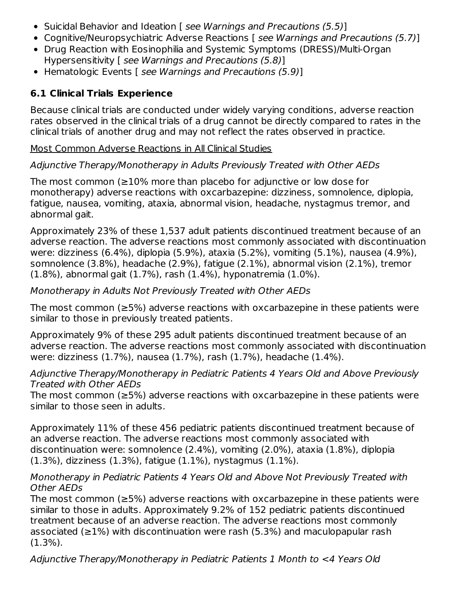- Suicidal Behavior and Ideation [ see Warnings and Precautions (5.5)]
- Cognitive/Neuropsychiatric Adverse Reactions [see Warnings and Precautions (5.7)]
- Drug Reaction with Eosinophilia and Systemic Symptoms (DRESS)/Multi-Organ Hypersensitivity [ see Warnings and Precautions (5.8)]
- Hematologic Events [ see Warnings and Precautions (5.9)]

## **6.1 Clinical Trials Experience**

Because clinical trials are conducted under widely varying conditions, adverse reaction rates observed in the clinical trials of a drug cannot be directly compared to rates in the clinical trials of another drug and may not reflect the rates observed in practice.

### Most Common Adverse Reactions in All Clinical Studies

## Adjunctive Therapy/Monotherapy in Adults Previously Treated with Other AEDs

The most common ( $\geq$ 10% more than placebo for adjunctive or low dose for monotherapy) adverse reactions with oxcarbazepine: dizziness, somnolence, diplopia, fatigue, nausea, vomiting, ataxia, abnormal vision, headache, nystagmus tremor, and abnormal gait.

Approximately 23% of these 1,537 adult patients discontinued treatment because of an adverse reaction. The adverse reactions most commonly associated with discontinuation were: dizziness (6.4%), diplopia (5.9%), ataxia (5.2%), vomiting (5.1%), nausea (4.9%), somnolence (3.8%), headache (2.9%), fatigue (2.1%), abnormal vision (2.1%), tremor (1.8%), abnormal gait (1.7%), rash (1.4%), hyponatremia (1.0%).

### Monotherapy in Adults Not Previously Treated with Other AEDs

The most common (≥5%) adverse reactions with oxcarbazepine in these patients were similar to those in previously treated patients.

Approximately 9% of these 295 adult patients discontinued treatment because of an adverse reaction. The adverse reactions most commonly associated with discontinuation were: dizziness (1.7%), nausea (1.7%), rash (1.7%), headache (1.4%).

#### Adjunctive Therapy/Monotherapy in Pediatric Patients 4 Years Old and Above Previously Treated with Other AEDs

The most common (≥5%) adverse reactions with oxcarbazepine in these patients were similar to those seen in adults.

Approximately 11% of these 456 pediatric patients discontinued treatment because of an adverse reaction. The adverse reactions most commonly associated with discontinuation were: somnolence (2.4%), vomiting (2.0%), ataxia (1.8%), diplopia (1.3%), dizziness (1.3%), fatigue (1.1%), nystagmus (1.1%).

### Monotherapy in Pediatric Patients 4 Years Old and Above Not Previously Treated with Other AEDs

The most common (≥5%) adverse reactions with oxcarbazepine in these patients were similar to those in adults. Approximately 9.2% of 152 pediatric patients discontinued treatment because of an adverse reaction. The adverse reactions most commonly associated ( $\geq$ 1%) with discontinuation were rash (5.3%) and maculopapular rash (1.3%).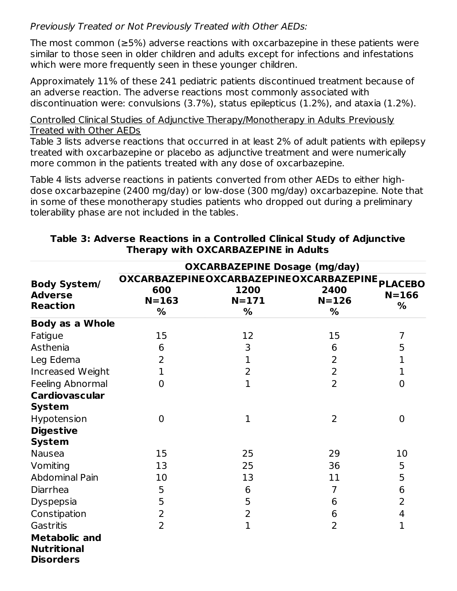Previously Treated or Not Previously Treated with Other AEDs:

The most common (≥5%) adverse reactions with oxcarbazepine in these patients were similar to those seen in older children and adults except for infections and infestations which were more frequently seen in these younger children.

Approximately 11% of these 241 pediatric patients discontinued treatment because of an adverse reaction. The adverse reactions most commonly associated with discontinuation were: convulsions (3.7%), status epilepticus (1.2%), and ataxia (1.2%).

Controlled Clinical Studies of Adjunctive Therapy/Monotherapy in Adults Previously Treated with Other AEDs

Table 3 lists adverse reactions that occurred in at least 2% of adult patients with epilepsy treated with oxcarbazepine or placebo as adjunctive treatment and were numerically more common in the patients treated with any dose of oxcarbazepine.

Table 4 lists adverse reactions in patients converted from other AEDs to either highdose oxcarbazepine (2400 mg/day) or low-dose (300 mg/day) oxcarbazepine. Note that in some of these monotherapy studies patients who dropped out during a preliminary tolerability phase are not included in the tables.

|                                                                | <b>OXCARBAZEPINE Dosage (mg/day)</b> |                                                                           |                        |                |  |
|----------------------------------------------------------------|--------------------------------------|---------------------------------------------------------------------------|------------------------|----------------|--|
| <b>Body System/</b><br><b>Adverse</b><br><b>Reaction</b>       | 600<br>$N = 163$<br>%                | OXCARBAZEPINEOXCARBAZEPINEOXCARBAZEPINE PLACEBO<br>1200<br>$N = 171$<br>% | 2400<br>$N = 126$<br>% | $N = 166$<br>% |  |
| <b>Body as a Whole</b>                                         |                                      |                                                                           |                        |                |  |
| Fatigue                                                        | 15                                   | 12                                                                        | 15                     | 7              |  |
| Asthenia                                                       | 6                                    | 3                                                                         | 6                      | 5              |  |
| Leg Edema                                                      | 2                                    | 1                                                                         | 2                      | 1              |  |
| Increased Weight                                               | $\mathbf 1$                          | 2                                                                         | $\overline{2}$         | $\mathbf 1$    |  |
| Feeling Abnormal                                               | $\overline{0}$                       | $\mathbf{1}$                                                              | $\overline{2}$         | $\overline{0}$ |  |
| <b>Cardiovascular</b><br><b>System</b>                         |                                      |                                                                           |                        |                |  |
| Hypotension                                                    | $\overline{0}$                       | $\mathbf 1$                                                               | $\overline{2}$         | $\mathbf 0$    |  |
| <b>Digestive</b>                                               |                                      |                                                                           |                        |                |  |
| <b>System</b>                                                  |                                      |                                                                           |                        |                |  |
| <b>Nausea</b>                                                  | 15                                   | 25                                                                        | 29                     | 10             |  |
| Vomiting                                                       | 13                                   | 25                                                                        | 36                     | 5              |  |
| <b>Abdominal Pain</b>                                          | 10                                   | 13                                                                        | 11                     | 5              |  |
| Diarrhea                                                       | 5                                    | 6                                                                         | 7                      | 6              |  |
| <b>Dyspepsia</b>                                               | 5                                    | 5                                                                         | 6                      | $\overline{2}$ |  |
| Constipation                                                   | 2                                    | 2                                                                         | 6                      | 4              |  |
| Gastritis                                                      | 2                                    | 1                                                                         | $\overline{2}$         | 1              |  |
| <b>Metabolic and</b><br><b>Nutritional</b><br><b>Disorders</b> |                                      |                                                                           |                        |                |  |

#### **Table 3: Adverse Reactions in a Controlled Clinical Study of Adjunctive Therapy with OXCARBAZEPINE in Adults**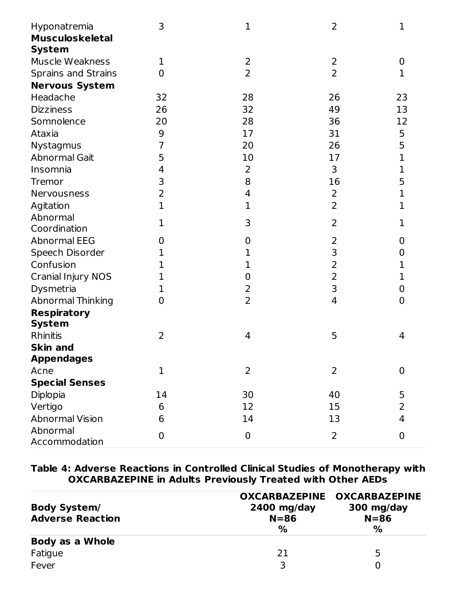| Hyponatremia               | 3              | 1              | 2              | 1              |
|----------------------------|----------------|----------------|----------------|----------------|
| <b>Musculoskeletal</b>     |                |                |                |                |
| <b>System</b>              |                |                |                |                |
| Muscle Weakness            | 1              | $\overline{2}$ | $\overline{2}$ | $\mathbf 0$    |
| <b>Sprains and Strains</b> | 0              | $\overline{2}$ | 2              | 1              |
| <b>Nervous System</b>      |                |                |                |                |
| Headache                   | 32             | 28             | 26             | 23             |
| <b>Dizziness</b>           | 26             | 32             | 49             | 13             |
| Somnolence                 | 20             | 28             | 36             | 12             |
| Ataxia                     | 9              | 17             | 31             | 5              |
| Nystagmus                  | 7              | 20             | 26             | 5              |
| <b>Abnormal Gait</b>       | 5              | 10             | 17             | 1              |
| Insomnia                   | 4              | $\overline{2}$ | 3              | 1              |
| Tremor                     | 3              | 8              | 16             | 5              |
| Nervousness                | $\overline{2}$ | 4              | $\overline{2}$ | 1              |
| Agitation                  | $\mathbf 1$    | $\mathbf 1$    | $\overline{2}$ | 1              |
| Abnormal                   | 1              | 3              | 2              | 1              |
| Coordination               |                |                |                |                |
| <b>Abnormal EEG</b>        | 0              | 0              | 2              | 0              |
| Speech Disorder            | 1              | 1              | 3              | 0              |
| Confusion                  | $\mathbf{1}$   | 1              | $\overline{2}$ | 1              |
| <b>Cranial Injury NOS</b>  | 1              | 0              | $\overline{2}$ | 1              |
| Dysmetria                  | 1              | $\overline{2}$ | 3              | $\mathbf 0$    |
| <b>Abnormal Thinking</b>   | 0              | 2              | $\overline{4}$ | $\mathbf 0$    |
| <b>Respiratory</b>         |                |                |                |                |
| <b>System</b>              |                |                |                |                |
| <b>Rhinitis</b>            | 2              | 4              | 5              | 4              |
| <b>Skin and</b>            |                |                |                |                |
| <b>Appendages</b>          |                |                |                |                |
| Acne                       | $\mathbf 1$    | $\overline{2}$ | 2              | $\overline{0}$ |
| <b>Special Senses</b>      |                |                |                |                |
| Diplopia                   | 14             | 30             | 40             | 5              |
| Vertigo                    | 6              | 12             | 15             | 2              |
| <b>Abnormal Vision</b>     | 6              | 14             | 13             | 4              |
| Abnormal                   | 0              | $\mathbf 0$    | $\overline{2}$ | $\mathbf 0$    |
| Accommodation              |                |                |                |                |

**Table 4: Adverse Reactions in Controlled Clinical Studies of Monotherapy with OXCARBAZEPINE in Adults Previously Treated with Other AEDs**

| <b>Body System/</b><br><b>Adverse Reaction</b> | $2400$ mg/day<br>$N = 86$<br>% | OXCARBAZEPINE OXCARBAZEPINE<br>300 mg/day<br>$N = 86$<br>% |
|------------------------------------------------|--------------------------------|------------------------------------------------------------|
| Body as a Whole                                |                                |                                                            |
| Fatigue                                        | 21                             | 5                                                          |
| Fever                                          | 3                              | O                                                          |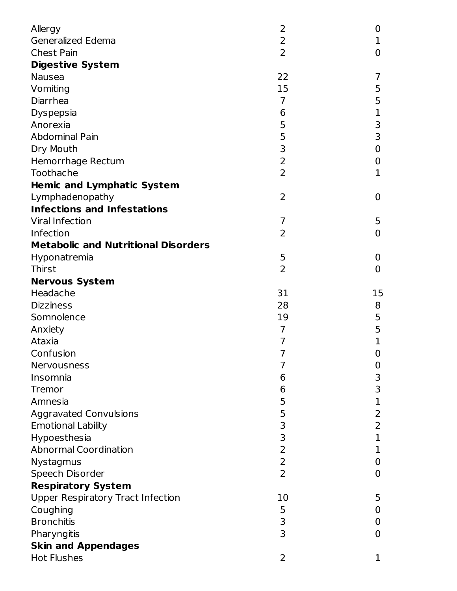| Allergy                                    | 2              | 0              |
|--------------------------------------------|----------------|----------------|
| Generalized Edema                          | 2              | 1              |
| <b>Chest Pain</b>                          | 2              | 0              |
| <b>Digestive System</b>                    |                |                |
| <b>Nausea</b>                              | 22             | 7              |
| Vomiting                                   | 15             | 5              |
| Diarrhea                                   | $\overline{7}$ | 5              |
| <b>Dyspepsia</b>                           | 6              | 1              |
| Anorexia                                   | 5              | 3              |
| <b>Abdominal Pain</b>                      | 5              | 3              |
| Dry Mouth                                  | 3              | $\mathbf 0$    |
| Hemorrhage Rectum                          | $\overline{2}$ | 0              |
| Toothache                                  | $\overline{2}$ | $\mathbf 1$    |
| <b>Hemic and Lymphatic System</b>          |                |                |
| Lymphadenopathy                            | $\overline{2}$ | 0              |
| <b>Infections and Infestations</b>         |                |                |
| <b>Viral Infection</b>                     | 7              | 5              |
| Infection                                  | 2              | 0              |
| <b>Metabolic and Nutritional Disorders</b> |                |                |
| Hyponatremia                               | 5              | 0              |
| Thirst                                     | 2              | 0              |
| <b>Nervous System</b>                      |                |                |
| Headache                                   | 31             | 15             |
| <b>Dizziness</b>                           | 28             | 8              |
| Somnolence                                 | 19             | 5              |
| Anxiety                                    | $\overline{7}$ | 5              |
| Ataxia                                     | 7              | 1              |
| Confusion                                  | 7              | $\overline{0}$ |
| Nervousness                                | 7              | 0              |
| Insomnia                                   | 6              | 3              |
| Tremor                                     | 6              | 3              |
| Amnesia                                    | 5              | 1              |
| <b>Aggravated Convulsions</b>              | 5              | $\overline{2}$ |
| <b>Emotional Lability</b>                  | 3              | 2              |
| Hypoesthesia                               | 3              | 1              |
| <b>Abnormal Coordination</b>               | $\overline{2}$ | 1              |
| Nystagmus                                  | $\overline{2}$ | 0              |
| Speech Disorder                            | $\overline{2}$ | 0              |
| <b>Respiratory System</b>                  |                |                |
| <b>Upper Respiratory Tract Infection</b>   | 10             | 5              |
| Coughing                                   | 5              | 0              |
| <b>Bronchitis</b>                          | 3              | 0              |
| Pharyngitis                                | 3              | 0              |
| <b>Skin and Appendages</b>                 |                |                |
| <b>Hot Flushes</b>                         | 2              | 1              |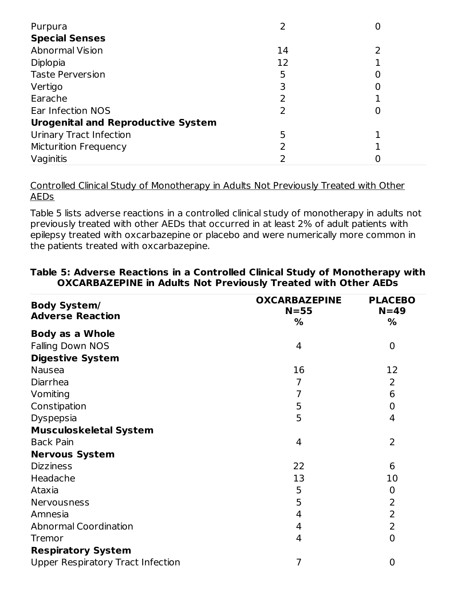| Purpura                                   |    | U |
|-------------------------------------------|----|---|
| <b>Special Senses</b>                     |    |   |
| <b>Abnormal Vision</b>                    | 14 |   |
| Diplopia                                  | 12 |   |
| <b>Taste Perversion</b>                   | 5  |   |
| Vertigo                                   |    | 0 |
| Earache                                   |    |   |
| Ear Infection NOS                         |    | U |
| <b>Urogenital and Reproductive System</b> |    |   |
| <b>Urinary Tract Infection</b>            | 5  |   |
| <b>Micturition Frequency</b>              |    |   |
| Vaginitis                                 |    |   |

Controlled Clinical Study of Monotherapy in Adults Not Previously Treated with Other AEDs

Table 5 lists adverse reactions in a controlled clinical study of monotherapy in adults not previously treated with other AEDs that occurred in at least 2% of adult patients with epilepsy treated with oxcarbazepine or placebo and were numerically more common in the patients treated with oxcarbazepine.

| <b>Body System/</b><br><b>Adverse Reaction</b> | <b>OXCARBAZEPINE</b><br>$N = 55$<br>% | <b>PLACEBO</b><br>$N=49$<br>% |
|------------------------------------------------|---------------------------------------|-------------------------------|
| <b>Body as a Whole</b>                         |                                       |                               |
| <b>Falling Down NOS</b>                        | 4                                     | $\overline{0}$                |
| <b>Digestive System</b>                        |                                       |                               |
| <b>Nausea</b>                                  | 16                                    | 12                            |
| Diarrhea                                       | 7                                     | 2                             |
| Vomiting                                       | 7                                     | 6                             |
| Constipation                                   | 5                                     | 0                             |
| Dyspepsia                                      | 5                                     | 4                             |
| <b>Musculoskeletal System</b>                  |                                       |                               |
| <b>Back Pain</b>                               | 4                                     | $\overline{2}$                |
| <b>Nervous System</b>                          |                                       |                               |
| <b>Dizziness</b>                               | 22                                    | 6                             |
| Headache                                       | 13                                    | 10                            |
| Ataxia                                         | 5                                     | $\mathbf 0$                   |
| <b>Nervousness</b>                             | 5                                     | $\overline{2}$                |
| Amnesia                                        | 4                                     | 2                             |
| <b>Abnormal Coordination</b>                   | 4                                     | $\overline{2}$                |
| Tremor                                         | 4                                     | $\overline{0}$                |
| <b>Respiratory System</b>                      |                                       |                               |
| Upper Respiratory Tract Infection              | 7                                     | $\overline{0}$                |

#### **Table 5: Adverse Reactions in a Controlled Clinical Study of Monotherapy with OXCARBAZEPINE in Adults Not Previously Treated with Other AEDs**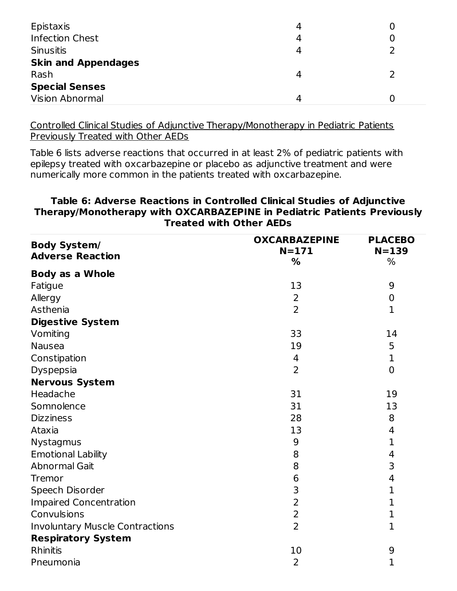| Epistaxis                  | 4 | O |
|----------------------------|---|---|
| <b>Infection Chest</b>     | 4 |   |
| <b>Sinusitis</b>           | 4 |   |
| <b>Skin and Appendages</b> |   |   |
| Rash                       | 4 |   |
| <b>Special Senses</b>      |   |   |
| <b>Vision Abnormal</b>     | Δ |   |

Controlled Clinical Studies of Adjunctive Therapy/Monotherapy in Pediatric Patients Previously Treated with Other AEDs

Table 6 lists adverse reactions that occurred in at least 2% of pediatric patients with epilepsy treated with oxcarbazepine or placebo as adjunctive treatment and were numerically more common in the patients treated with oxcarbazepine.

#### **Table 6: Adverse Reactions in Controlled Clinical Studies of Adjunctive Therapy/Monotherapy with OXCARBAZEPINE in Pediatric Patients Previously Treated with Other AEDs**

| <b>Body System/</b><br><b>Adverse Reaction</b> | <b>OXCARBAZEPINE</b><br>$N = 171$<br>% | <b>PLACEBO</b><br>$N = 139$<br>% |
|------------------------------------------------|----------------------------------------|----------------------------------|
| <b>Body as a Whole</b>                         |                                        |                                  |
| Fatigue                                        | 13                                     | 9                                |
| Allergy                                        | $\overline{2}$                         | 0                                |
| Asthenia                                       | $\overline{2}$                         | $\mathbf 1$                      |
| <b>Digestive System</b>                        |                                        |                                  |
| Vomiting                                       | 33                                     | 14                               |
| <b>Nausea</b>                                  | 19                                     | 5                                |
| Constipation                                   | 4                                      | 1                                |
| Dyspepsia                                      | 2                                      | $\overline{0}$                   |
| <b>Nervous System</b>                          |                                        |                                  |
| Headache                                       | 31                                     | 19                               |
| Somnolence                                     | 31                                     | 13                               |
| <b>Dizziness</b>                               | 28                                     | 8                                |
| Ataxia                                         | 13                                     | 4                                |
| Nystagmus                                      | 9                                      | 1                                |
| <b>Emotional Lability</b>                      | 8                                      | 4                                |
| <b>Abnormal Gait</b>                           | 8                                      | 3                                |
| Tremor                                         | 6                                      | 4                                |
| Speech Disorder                                | 3                                      | $\mathbf{1}$                     |
| <b>Impaired Concentration</b>                  | $\overline{2}$                         | 1                                |
| Convulsions                                    | $\overline{2}$                         | 1                                |
| <b>Involuntary Muscle Contractions</b>         | $\overline{2}$                         | $\mathbf{1}$                     |
| <b>Respiratory System</b>                      |                                        |                                  |
| <b>Rhinitis</b>                                | 10                                     | 9                                |
| Pneumonia                                      | $\overline{2}$                         | 1                                |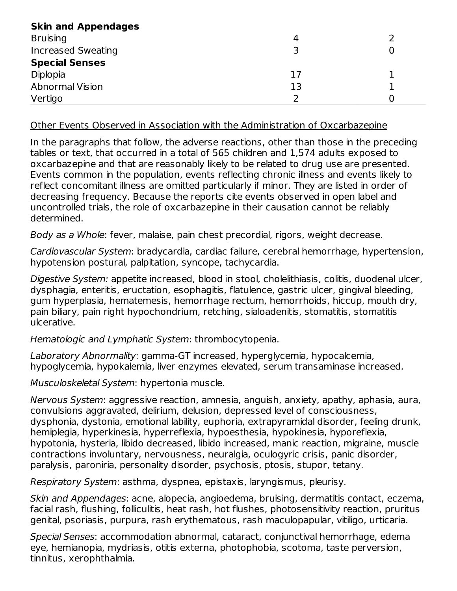| <b>Skin and Appendages</b> |    |  |
|----------------------------|----|--|
| <b>Bruising</b>            | 4  |  |
| <b>Increased Sweating</b>  | 3  |  |
| <b>Special Senses</b>      |    |  |
| Diplopia                   | 17 |  |
| <b>Abnormal Vision</b>     | 13 |  |
| Vertigo                    | 2  |  |

Other Events Observed in Association with the Administration of Oxcarbazepine

In the paragraphs that follow, the adverse reactions, other than those in the preceding tables or text, that occurred in a total of 565 children and 1,574 adults exposed to oxcarbazepine and that are reasonably likely to be related to drug use are presented. Events common in the population, events reflecting chronic illness and events likely to reflect concomitant illness are omitted particularly if minor. They are listed in order of decreasing frequency. Because the reports cite events observed in open label and uncontrolled trials, the role of oxcarbazepine in their causation cannot be reliably determined.

Body as a Whole: fever, malaise, pain chest precordial, rigors, weight decrease.

Cardiovascular System: bradycardia, cardiac failure, cerebral hemorrhage, hypertension, hypotension postural, palpitation, syncope, tachycardia.

Digestive System: appetite increased, blood in stool, cholelithiasis, colitis, duodenal ulcer, dysphagia, enteritis, eructation, esophagitis, flatulence, gastric ulcer, gingival bleeding, gum hyperplasia, hematemesis, hemorrhage rectum, hemorrhoids, hiccup, mouth dry, pain biliary, pain right hypochondrium, retching, sialoadenitis, stomatitis, stomatitis ulcerative.

Hematologic and Lymphatic System: thrombocytopenia.

Laboratory Abnormality: gamma-GT increased, hyperglycemia, hypocalcemia, hypoglycemia, hypokalemia, liver enzymes elevated, serum transaminase increased.

Musculoskeletal System: hypertonia muscle.

Nervous System: aggressive reaction, amnesia, anguish, anxiety, apathy, aphasia, aura, convulsions aggravated, delirium, delusion, depressed level of consciousness, dysphonia, dystonia, emotional lability, euphoria, extrapyramidal disorder, feeling drunk, hemiplegia, hyperkinesia, hyperreflexia, hypoesthesia, hypokinesia, hyporeflexia, hypotonia, hysteria, libido decreased, libido increased, manic reaction, migraine, muscle contractions involuntary, nervousness, neuralgia, oculogyric crisis, panic disorder, paralysis, paroniria, personality disorder, psychosis, ptosis, stupor, tetany.

Respiratory System: asthma, dyspnea, epistaxis, laryngismus, pleurisy.

Skin and Appendages: acne, alopecia, angioedema, bruising, dermatitis contact, eczema, facial rash, flushing, folliculitis, heat rash, hot flushes, photosensitivity reaction, pruritus genital, psoriasis, purpura, rash erythematous, rash maculopapular, vitiligo, urticaria.

Special Senses: accommodation abnormal, cataract, conjunctival hemorrhage, edema eye, hemianopia, mydriasis, otitis externa, photophobia, scotoma, taste perversion, tinnitus, xerophthalmia.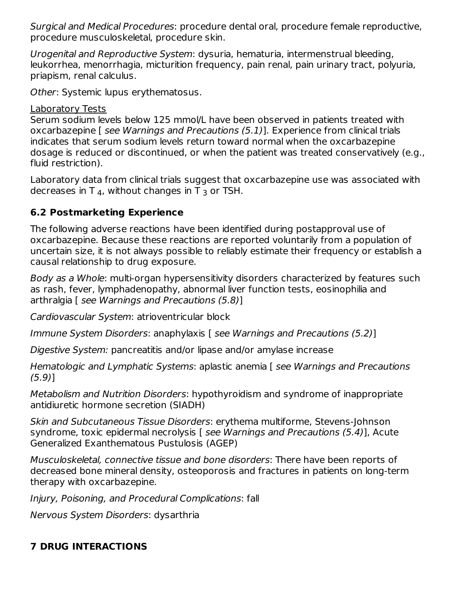Surgical and Medical Procedures: procedure dental oral, procedure female reproductive, procedure musculoskeletal, procedure skin.

Urogenital and Reproductive System: dysuria, hematuria, intermenstrual bleeding, leukorrhea, menorrhagia, micturition frequency, pain renal, pain urinary tract, polyuria, priapism, renal calculus.

Other: Systemic lupus erythematosus.

### Laboratory Tests

Serum sodium levels below 125 mmol/L have been observed in patients treated with oxcarbazepine [ see Warnings and Precautions (5.1)]. Experience from clinical trials indicates that serum sodium levels return toward normal when the oxcarbazepine dosage is reduced or discontinued, or when the patient was treated conservatively (e.g., fluid restriction).

Laboratory data from clinical trials suggest that oxcarbazepine use was associated with decreases in T  $_4$ , without changes in T  $_3$  or TSH.

## **6.2 Postmarketing Experience**

The following adverse reactions have been identified during postapproval use of oxcarbazepine. Because these reactions are reported voluntarily from a population of uncertain size, it is not always possible to reliably estimate their frequency or establish a causal relationship to drug exposure.

Body as a Whole: multi-organ hypersensitivity disorders characterized by features such as rash, fever, lymphadenopathy, abnormal liver function tests, eosinophilia and arthralgia [ see Warnings and Precautions (5.8)]

Cardiovascular System: atrioventricular block

Immune System Disorders: anaphylaxis [ see Warnings and Precautions (5.2)]

Digestive System: pancreatitis and/or lipase and/or amylase increase

Hematologic and Lymphatic Systems: aplastic anemia [ see Warnings and Precautions (5.9)]

Metabolism and Nutrition Disorders: hypothyroidism and syndrome of inappropriate antidiuretic hormone secretion (SIADH)

Skin and Subcutaneous Tissue Disorders: erythema multiforme, Stevens-Johnson syndrome, toxic epidermal necrolysis [ see Warnings and Precautions (5.4)], Acute Generalized Exanthematous Pustulosis (AGEP)

Musculoskeletal, connective tissue and bone disorders: There have been reports of decreased bone mineral density, osteoporosis and fractures in patients on long-term therapy with oxcarbazepine.

Injury, Poisoning, and Procedural Complications: fall

Nervous System Disorders: dysarthria

# **7 DRUG INTERACTIONS**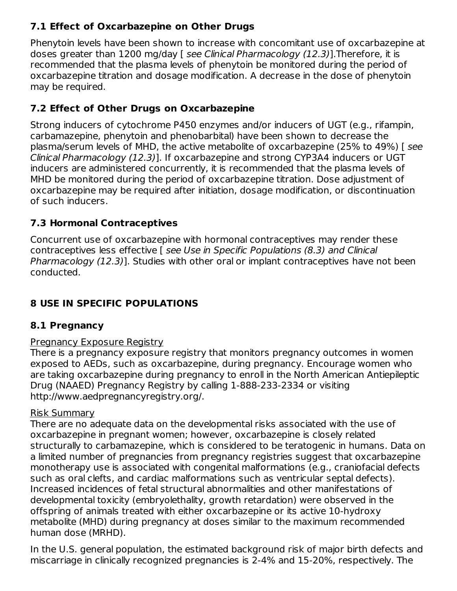## **7.1 Effect of Oxcarbazepine on Other Drugs**

Phenytoin levels have been shown to increase with concomitant use of oxcarbazepine at doses greater than 1200 mg/day [ see Clinical Pharmacology (12.3)]. Therefore, it is recommended that the plasma levels of phenytoin be monitored during the period of oxcarbazepine titration and dosage modification. A decrease in the dose of phenytoin may be required.

## **7.2 Effect of Other Drugs on Oxcarbazepine**

Strong inducers of cytochrome P450 enzymes and/or inducers of UGT (e.g., rifampin, carbamazepine, phenytoin and phenobarbital) have been shown to decrease the plasma/serum levels of MHD, the active metabolite of oxcarbazepine (25% to 49%) [ see Clinical Pharmacology (12.3)]. If oxcarbazepine and strong CYP3A4 inducers or UGT inducers are administered concurrently, it is recommended that the plasma levels of MHD be monitored during the period of oxcarbazepine titration. Dose adjustment of oxcarbazepine may be required after initiation, dosage modification, or discontinuation of such inducers.

# **7.3 Hormonal Contraceptives**

Concurrent use of oxcarbazepine with hormonal contraceptives may render these contraceptives less effective [ see Use in Specific Populations (8.3) and Clinical Pharmacology (12.3)]. Studies with other oral or implant contraceptives have not been conducted.

# **8 USE IN SPECIFIC POPULATIONS**

## **8.1 Pregnancy**

## Pregnancy Exposure Registry

There is a pregnancy exposure registry that monitors pregnancy outcomes in women exposed to AEDs, such as oxcarbazepine, during pregnancy. Encourage women who are taking oxcarbazepine during pregnancy to enroll in the North American Antiepileptic Drug (NAAED) Pregnancy Registry by calling 1-888-233-2334 or visiting http://www.aedpregnancyregistry.org/.

### Risk Summary

There are no adequate data on the developmental risks associated with the use of oxcarbazepine in pregnant women; however, oxcarbazepine is closely related structurally to carbamazepine, which is considered to be teratogenic in humans. Data on a limited number of pregnancies from pregnancy registries suggest that oxcarbazepine monotherapy use is associated with congenital malformations (e.g., craniofacial defects such as oral clefts, and cardiac malformations such as ventricular septal defects). Increased incidences of fetal structural abnormalities and other manifestations of developmental toxicity (embryolethality, growth retardation) were observed in the offspring of animals treated with either oxcarbazepine or its active 10-hydroxy metabolite (MHD) during pregnancy at doses similar to the maximum recommended human dose (MRHD).

In the U.S. general population, the estimated background risk of major birth defects and miscarriage in clinically recognized pregnancies is 2-4% and 15-20%, respectively. The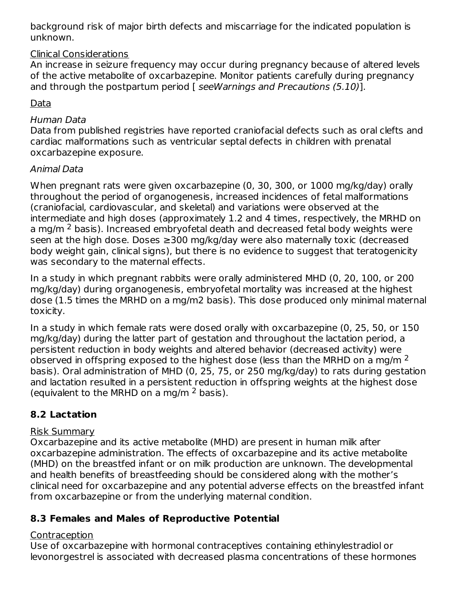background risk of major birth defects and miscarriage for the indicated population is unknown.

### Clinical Considerations

An increase in seizure frequency may occur during pregnancy because of altered levels of the active metabolite of oxcarbazepine. Monitor patients carefully during pregnancy and through the postpartum period [ seeWarnings and Precautions (5.10)].

### Data

#### Human Data

Data from published registries have reported craniofacial defects such as oral clefts and cardiac malformations such as ventricular septal defects in children with prenatal oxcarbazepine exposure.

#### Animal Data

When pregnant rats were given oxcarbazepine (0, 30, 300, or 1000 mg/kg/day) orally throughout the period of organogenesis, increased incidences of fetal malformations (craniofacial, cardiovascular, and skeletal) and variations were observed at the intermediate and high doses (approximately 1.2 and 4 times, respectively, the MRHD on a mg/m <sup>2</sup> basis). Increased embryofetal death and decreased fetal body weights were seen at the high dose. Doses ≥300 mg/kg/day were also maternally toxic (decreased body weight gain, clinical signs), but there is no evidence to suggest that teratogenicity was secondary to the maternal effects.

In a study in which pregnant rabbits were orally administered MHD (0, 20, 100, or 200 mg/kg/day) during organogenesis, embryofetal mortality was increased at the highest dose (1.5 times the MRHD on a mg/m2 basis). This dose produced only minimal maternal toxicity.

In a study in which female rats were dosed orally with oxcarbazepine (0, 25, 50, or 150 mg/kg/day) during the latter part of gestation and throughout the lactation period, a persistent reduction in body weights and altered behavior (decreased activity) were observed in offspring exposed to the highest dose (less than the MRHD on a mg/m  $^2$ basis). Oral administration of MHD (0, 25, 75, or 250 mg/kg/day) to rats during gestation and lactation resulted in a persistent reduction in offspring weights at the highest dose (equivalent to the MRHD on a mg/m  $^2$  basis).

## **8.2 Lactation**

#### Risk Summary

Oxcarbazepine and its active metabolite (MHD) are present in human milk after oxcarbazepine administration. The effects of oxcarbazepine and its active metabolite (MHD) on the breastfed infant or on milk production are unknown. The developmental and health benefits of breastfeeding should be considered along with the mother's clinical need for oxcarbazepine and any potential adverse effects on the breastfed infant from oxcarbazepine or from the underlying maternal condition.

### **8.3 Females and Males of Reproductive Potential**

#### **Contraception**

Use of oxcarbazepine with hormonal contraceptives containing ethinylestradiol or levonorgestrel is associated with decreased plasma concentrations of these hormones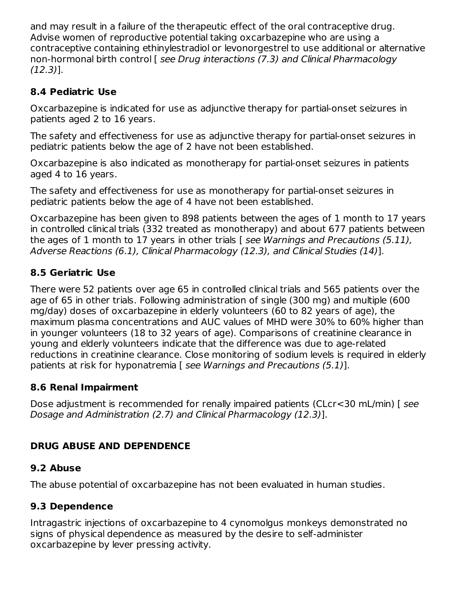and may result in a failure of the therapeutic effect of the oral contraceptive drug. Advise women of reproductive potential taking oxcarbazepine who are using a contraceptive containing ethinylestradiol or levonorgestrel to use additional or alternative non-hormonal birth control [ see Drug interactions (7.3) and Clinical Pharmacology (12.3)].

## **8.4 Pediatric Use**

Oxcarbazepine is indicated for use as adjunctive therapy for partial-onset seizures in patients aged 2 to 16 years.

The safety and effectiveness for use as adjunctive therapy for partial-onset seizures in pediatric patients below the age of 2 have not been established.

Oxcarbazepine is also indicated as monotherapy for partial-onset seizures in patients aged 4 to 16 years.

The safety and effectiveness for use as monotherapy for partial-onset seizures in pediatric patients below the age of 4 have not been established.

Oxcarbazepine has been given to 898 patients between the ages of 1 month to 17 years in controlled clinical trials (332 treated as monotherapy) and about 677 patients between the ages of 1 month to 17 years in other trials [ see Warnings and Precautions (5.11), Adverse Reactions (6.1), Clinical Pharmacology (12.3), and Clinical Studies (14)].

## **8.5 Geriatric Use**

There were 52 patients over age 65 in controlled clinical trials and 565 patients over the age of 65 in other trials. Following administration of single (300 mg) and multiple (600 mg/day) doses of oxcarbazepine in elderly volunteers (60 to 82 years of age), the maximum plasma concentrations and AUC values of MHD were 30% to 60% higher than in younger volunteers (18 to 32 years of age). Comparisons of creatinine clearance in young and elderly volunteers indicate that the difference was due to age-related reductions in creatinine clearance. Close monitoring of sodium levels is required in elderly patients at risk for hyponatremia [ see Warnings and Precautions (5.1)].

### **8.6 Renal Impairment**

Dose adjustment is recommended for renally impaired patients (CLcr<30 mL/min) [ see Dosage and Administration (2.7) and Clinical Pharmacology (12.3)].

## **DRUG ABUSE AND DEPENDENCE**

### **9.2 Abuse**

The abuse potential of oxcarbazepine has not been evaluated in human studies.

## **9.3 Dependence**

Intragastric injections of oxcarbazepine to 4 cynomolgus monkeys demonstrated no signs of physical dependence as measured by the desire to self-administer oxcarbazepine by lever pressing activity.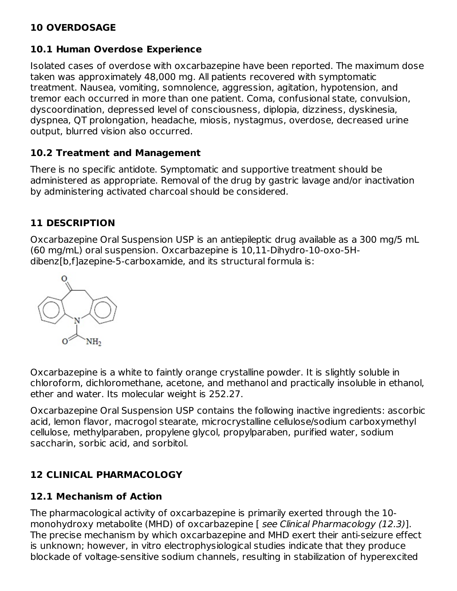### **10 OVERDOSAGE**

#### **10.1 Human Overdose Experience**

Isolated cases of overdose with oxcarbazepine have been reported. The maximum dose taken was approximately 48,000 mg. All patients recovered with symptomatic treatment. Nausea, vomiting, somnolence, aggression, agitation, hypotension, and tremor each occurred in more than one patient. Coma, confusional state, convulsion, dyscoordination, depressed level of consciousness, diplopia, dizziness, dyskinesia, dyspnea, QT prolongation, headache, miosis, nystagmus, overdose, decreased urine output, blurred vision also occurred.

#### **10.2 Treatment and Management**

There is no specific antidote. Symptomatic and supportive treatment should be administered as appropriate. Removal of the drug by gastric lavage and/or inactivation by administering activated charcoal should be considered.

### **11 DESCRIPTION**

Oxcarbazepine Oral Suspension USP is an antiepileptic drug available as a 300 mg/5 mL (60 mg/mL) oral suspension. Oxcarbazepine is 10,11-Dihydro-10-oxo-5Hdibenz[b,f]azepine-5-carboxamide, and its structural formula is:



Oxcarbazepine is a white to faintly orange crystalline powder. It is slightly soluble in chloroform, dichloromethane, acetone, and methanol and practically insoluble in ethanol, ether and water. Its molecular weight is 252.27.

Oxcarbazepine Oral Suspension USP contains the following inactive ingredients: ascorbic acid, lemon flavor, macrogol stearate, microcrystalline cellulose/sodium carboxymethyl cellulose, methylparaben, propylene glycol, propylparaben, purified water, sodium saccharin, sorbic acid, and sorbitol.

### **12 CLINICAL PHARMACOLOGY**

#### **12.1 Mechanism of Action**

The pharmacological activity of oxcarbazepine is primarily exerted through the 10 monohydroxy metabolite (MHD) of oxcarbazepine [ see Clinical Pharmacology (12.3)]. The precise mechanism by which oxcarbazepine and MHD exert their anti-seizure effect is unknown; however, in vitro electrophysiological studies indicate that they produce blockade of voltage-sensitive sodium channels, resulting in stabilization of hyperexcited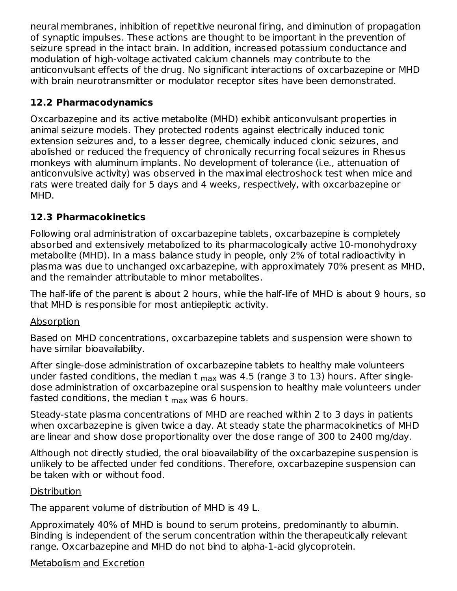neural membranes, inhibition of repetitive neuronal firing, and diminution of propagation of synaptic impulses. These actions are thought to be important in the prevention of seizure spread in the intact brain. In addition, increased potassium conductance and modulation of high-voltage activated calcium channels may contribute to the anticonvulsant effects of the drug. No significant interactions of oxcarbazepine or MHD with brain neurotransmitter or modulator receptor sites have been demonstrated.

### **12.2 Pharmacodynamics**

Oxcarbazepine and its active metabolite (MHD) exhibit anticonvulsant properties in animal seizure models. They protected rodents against electrically induced tonic extension seizures and, to a lesser degree, chemically induced clonic seizures, and abolished or reduced the frequency of chronically recurring focal seizures in Rhesus monkeys with aluminum implants. No development of tolerance (i.e., attenuation of anticonvulsive activity) was observed in the maximal electroshock test when mice and rats were treated daily for 5 days and 4 weeks, respectively, with oxcarbazepine or MHD.

## **12.3 Pharmacokinetics**

Following oral administration of oxcarbazepine tablets, oxcarbazepine is completely absorbed and extensively metabolized to its pharmacologically active 10-monohydroxy metabolite (MHD). In a mass balance study in people, only 2% of total radioactivity in plasma was due to unchanged oxcarbazepine, with approximately 70% present as MHD, and the remainder attributable to minor metabolites.

The half-life of the parent is about 2 hours, while the half-life of MHD is about 9 hours, so that MHD is responsible for most antiepileptic activity.

#### Absorption

Based on MHD concentrations, oxcarbazepine tablets and suspension were shown to have similar bioavailability.

After single-dose administration of oxcarbazepine tablets to healthy male volunteers under fasted conditions, the median t <sub>max</sub> was 4.5 (range 3 to 13) hours. After singledose administration of oxcarbazepine oral suspension to healthy male volunteers under fasted conditions, the median t <sub>max</sub> was 6 hours.

Steady-state plasma concentrations of MHD are reached within 2 to 3 days in patients when oxcarbazepine is given twice a day. At steady state the pharmacokinetics of MHD are linear and show dose proportionality over the dose range of 300 to 2400 mg/day.

Although not directly studied, the oral bioavailability of the oxcarbazepine suspension is unlikely to be affected under fed conditions. Therefore, oxcarbazepine suspension can be taken with or without food.

#### **Distribution**

The apparent volume of distribution of MHD is 49 L.

Approximately 40% of MHD is bound to serum proteins, predominantly to albumin. Binding is independent of the serum concentration within the therapeutically relevant range. Oxcarbazepine and MHD do not bind to alpha-1-acid glycoprotein.

## Metabolism and Excretion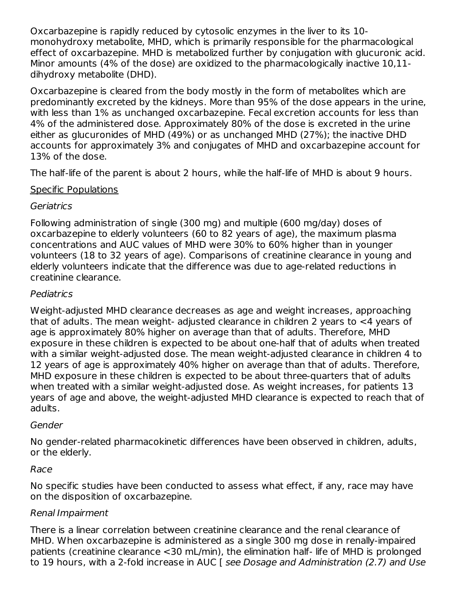Oxcarbazepine is rapidly reduced by cytosolic enzymes in the liver to its 10 monohydroxy metabolite, MHD, which is primarily responsible for the pharmacological effect of oxcarbazepine. MHD is metabolized further by conjugation with glucuronic acid. Minor amounts (4% of the dose) are oxidized to the pharmacologically inactive 10,11 dihydroxy metabolite (DHD).

Oxcarbazepine is cleared from the body mostly in the form of metabolites which are predominantly excreted by the kidneys. More than 95% of the dose appears in the urine, with less than 1% as unchanged oxcarbazepine. Fecal excretion accounts for less than 4% of the administered dose. Approximately 80% of the dose is excreted in the urine either as glucuronides of MHD (49%) or as unchanged MHD (27%); the inactive DHD accounts for approximately 3% and conjugates of MHD and oxcarbazepine account for 13% of the dose.

The half-life of the parent is about 2 hours, while the half-life of MHD is about 9 hours.

### Specific Populations

### **Geriatrics**

Following administration of single (300 mg) and multiple (600 mg/day) doses of oxcarbazepine to elderly volunteers (60 to 82 years of age), the maximum plasma concentrations and AUC values of MHD were 30% to 60% higher than in younger volunteers (18 to 32 years of age). Comparisons of creatinine clearance in young and elderly volunteers indicate that the difference was due to age-related reductions in creatinine clearance.

## Pediatrics

Weight-adjusted MHD clearance decreases as age and weight increases, approaching that of adults. The mean weight- adjusted clearance in children 2 years to <4 years of age is approximately 80% higher on average than that of adults. Therefore, MHD exposure in these children is expected to be about one-half that of adults when treated with a similar weight-adjusted dose. The mean weight-adjusted clearance in children 4 to 12 years of age is approximately 40% higher on average than that of adults. Therefore, MHD exposure in these children is expected to be about three-quarters that of adults when treated with a similar weight-adjusted dose. As weight increases, for patients 13 years of age and above, the weight-adjusted MHD clearance is expected to reach that of adults.

### Gender

No gender-related pharmacokinetic differences have been observed in children, adults, or the elderly.

### Race

No specific studies have been conducted to assess what effect, if any, race may have on the disposition of oxcarbazepine.

## Renal Impairment

There is a linear correlation between creatinine clearance and the renal clearance of MHD. When oxcarbazepine is administered as a single 300 mg dose in renally-impaired patients (creatinine clearance <30 mL/min), the elimination half- life of MHD is prolonged to 19 hours, with a 2-fold increase in AUC [ see Dosage and Administration (2.7) and Use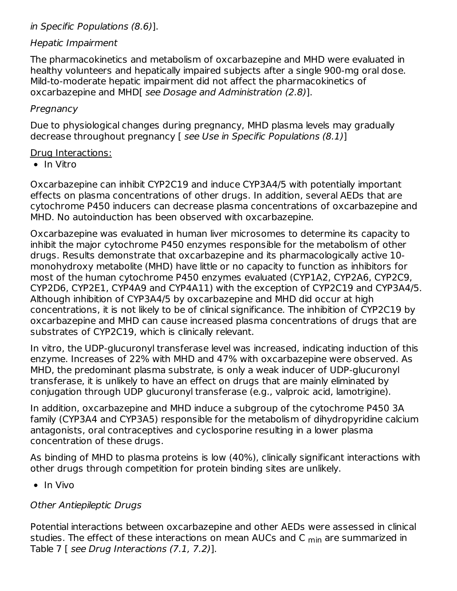#### in Specific Populations (8.6)].

#### Hepatic Impairment

The pharmacokinetics and metabolism of oxcarbazepine and MHD were evaluated in healthy volunteers and hepatically impaired subjects after a single 900-mg oral dose. Mild-to-moderate hepatic impairment did not affect the pharmacokinetics of oxcarbazepine and MHD[ see Dosage and Administration (2.8)].

### **Pregnancy**

Due to physiological changes during pregnancy, MHD plasma levels may gradually decrease throughout pregnancy [ see Use in Specific Populations (8.1)]

### Drug Interactions:

 $\bullet$  In Vitro

Oxcarbazepine can inhibit CYP2C19 and induce CYP3A4/5 with potentially important effects on plasma concentrations of other drugs. In addition, several AEDs that are cytochrome P450 inducers can decrease plasma concentrations of oxcarbazepine and MHD. No autoinduction has been observed with oxcarbazepine.

Oxcarbazepine was evaluated in human liver microsomes to determine its capacity to inhibit the major cytochrome P450 enzymes responsible for the metabolism of other drugs. Results demonstrate that oxcarbazepine and its pharmacologically active 10 monohydroxy metabolite (MHD) have little or no capacity to function as inhibitors for most of the human cytochrome P450 enzymes evaluated (CYP1A2, CYP2A6, CYP2C9, CYP2D6, CYP2E1, CYP4A9 and CYP4A11) with the exception of CYP2C19 and CYP3A4/5. Although inhibition of CYP3A4/5 by oxcarbazepine and MHD did occur at high concentrations, it is not likely to be of clinical significance. The inhibition of CYP2C19 by oxcarbazepine and MHD can cause increased plasma concentrations of drugs that are substrates of CYP2C19, which is clinically relevant.

In vitro, the UDP-glucuronyl transferase level was increased, indicating induction of this enzyme. Increases of 22% with MHD and 47% with oxcarbazepine were observed. As MHD, the predominant plasma substrate, is only a weak inducer of UDP-glucuronyl transferase, it is unlikely to have an effect on drugs that are mainly eliminated by conjugation through UDP glucuronyl transferase (e.g., valproic acid, lamotrigine).

In addition, oxcarbazepine and MHD induce a subgroup of the cytochrome P450 3A family (CYP3A4 and CYP3A5) responsible for the metabolism of dihydropyridine calcium antagonists, oral contraceptives and cyclosporine resulting in a lower plasma concentration of these drugs.

As binding of MHD to plasma proteins is low (40%), clinically significant interactions with other drugs through competition for protein binding sites are unlikely.

 $\bullet$  In Vivo

### Other Antiepileptic Drugs

Potential interactions between oxcarbazepine and other AEDs were assessed in clinical studies. The effect of these interactions on mean AUCs and C <sub>min</sub> are summarized in Table 7 [ see Drug Interactions (7.1, 7.2)].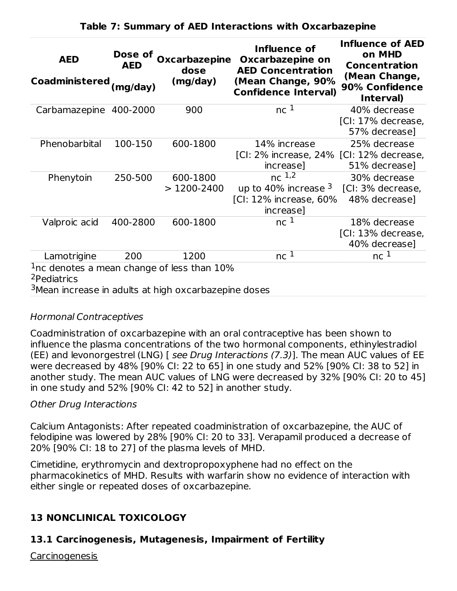| <b>AED</b><br>Coadministered (mg/day)                                                                                                          | Dose of<br>AED | Oxcarbazepine<br>dose<br>(mg/day) | Influence of<br>Oxcarbazepine on<br><b>AED Concentration</b><br>(Mean Change, 90%<br><b>Confidence Interval)</b> | <b>Influence of AED</b><br>on MHD<br><b>Concentration</b><br>(Mean Change,<br>90% Confidence<br>Interval) |
|------------------------------------------------------------------------------------------------------------------------------------------------|----------------|-----------------------------------|------------------------------------------------------------------------------------------------------------------|-----------------------------------------------------------------------------------------------------------|
| Carbamazepine 400-2000                                                                                                                         |                | 900                               | nc <sup>1</sup>                                                                                                  | 40% decrease<br>[CI: 17% decrease,<br>57% decrease]                                                       |
| Phenobarbital                                                                                                                                  | 100-150        | 600-1800                          | 14% increase<br>[CI: 2% increase, 24% [CI: 12% decrease,<br>increase]                                            | 25% decrease<br>51% decrease]                                                                             |
| Phenytoin                                                                                                                                      | 250-500        | 600-1800<br>$>$ 1200-2400         | nc <sup>1,2</sup><br>up to 40% increase $3$<br>[CI: 12% increase, 60%<br>increase]                               | 30% decrease<br>[CI: 3% decrease,<br>48% decrease]                                                        |
| Valproic acid                                                                                                                                  | 400-2800       | 600-1800                          | nc <sup>1</sup>                                                                                                  | 18% decrease<br>[CI: 13% decrease,<br>40% decrease]                                                       |
| Lamotrigine                                                                                                                                    | 200            | 1200                              | nc <sup>1</sup>                                                                                                  | nc <sup>1</sup>                                                                                           |
| $1nc$ denotes a mean change of less than $10\%$<br><sup>2</sup> Pediatrics<br><sup>3</sup> Mean increase in adults at high oxcarbazepine doses |                |                                   |                                                                                                                  |                                                                                                           |

#### **Table 7: Summary of AED Interactions with Oxcarbazepine**

### Hormonal Contraceptives

Coadministration of oxcarbazepine with an oral contraceptive has been shown to influence the plasma concentrations of the two hormonal components, ethinylestradiol (EE) and levonorgestrel (LNG) [ see Drug Interactions (7.3)]. The mean AUC values of EE were decreased by 48% [90% CI: 22 to 65] in one study and 52% [90% CI: 38 to 52] in another study. The mean AUC values of LNG were decreased by 32% [90% CI: 20 to 45] in one study and 52% [90% CI: 42 to 52] in another study.

### Other Drug Interactions

Calcium Antagonists: After repeated coadministration of oxcarbazepine, the AUC of felodipine was lowered by 28% [90% CI: 20 to 33]. Verapamil produced a decrease of 20% [90% CI: 18 to 27] of the plasma levels of MHD.

Cimetidine, erythromycin and dextropropoxyphene had no effect on the pharmacokinetics of MHD. Results with warfarin show no evidence of interaction with either single or repeated doses of oxcarbazepine.

## **13 NONCLINICAL TOXICOLOGY**

## **13.1 Carcinogenesis, Mutagenesis, Impairment of Fertility**

**Carcinogenesis**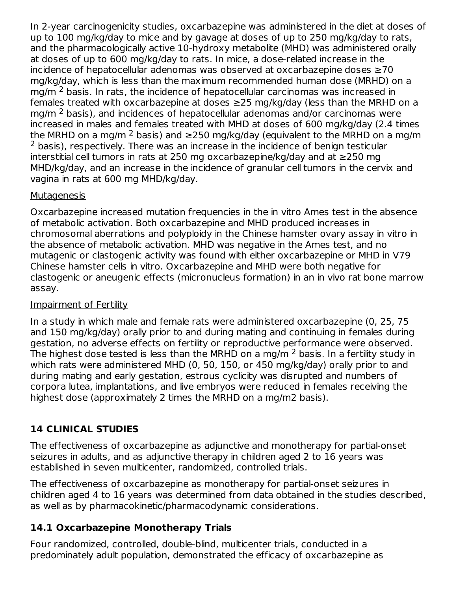In 2-year carcinogenicity studies, oxcarbazepine was administered in the diet at doses of up to 100 mg/kg/day to mice and by gavage at doses of up to 250 mg/kg/day to rats, and the pharmacologically active 10-hydroxy metabolite (MHD) was administered orally at doses of up to 600 mg/kg/day to rats. In mice, a dose-related increase in the incidence of hepatocellular adenomas was observed at oxcarbazepine doses ≥70 mg/kg/day, which is less than the maximum recommended human dose (MRHD) on a mg/m  $^2$  basis. In rats, the incidence of hepatocellular carcinomas was increased in females treated with oxcarbazepine at doses ≥25 mg/kg/day (less than the MRHD on a mg/m  $^2$  basis), and incidences of hepatocellular adenomas and/or carcinomas were increased in males and females treated with MHD at doses of 600 mg/kg/day (2.4 times the MRHD on a mg/m <sup>2</sup> basis) and ≥250 mg/kg/day (equivalent to the MRHD on a mg/m  $2$  basis), respectively. There was an increase in the incidence of benign testicular interstitial cell tumors in rats at 250 mg oxcarbazepine/kg/day and at ≥250 mg MHD/kg/day, and an increase in the incidence of granular cell tumors in the cervix and vagina in rats at 600 mg MHD/kg/day.

### **Mutagenesis**

Oxcarbazepine increased mutation frequencies in the in vitro Ames test in the absence of metabolic activation. Both oxcarbazepine and MHD produced increases in chromosomal aberrations and polyploidy in the Chinese hamster ovary assay in vitro in the absence of metabolic activation. MHD was negative in the Ames test, and no mutagenic or clastogenic activity was found with either oxcarbazepine or MHD in V79 Chinese hamster cells in vitro. Oxcarbazepine and MHD were both negative for clastogenic or aneugenic effects (micronucleus formation) in an in vivo rat bone marrow assay.

### Impairment of Fertility

In a study in which male and female rats were administered oxcarbazepine (0, 25, 75 and 150 mg/kg/day) orally prior to and during mating and continuing in females during gestation, no adverse effects on fertility or reproductive performance were observed. The highest dose tested is less than the MRHD on a mg/m  $^2$  basis. In a fertility study in which rats were administered MHD (0, 50, 150, or 450 mg/kg/day) orally prior to and during mating and early gestation, estrous cyclicity was disrupted and numbers of corpora lutea, implantations, and live embryos were reduced in females receiving the highest dose (approximately 2 times the MRHD on a mg/m2 basis).

## **14 CLINICAL STUDIES**

The effectiveness of oxcarbazepine as adjunctive and monotherapy for partial-onset seizures in adults, and as adjunctive therapy in children aged 2 to 16 years was established in seven multicenter, randomized, controlled trials.

The effectiveness of oxcarbazepine as monotherapy for partial-onset seizures in children aged 4 to 16 years was determined from data obtained in the studies described, as well as by pharmacokinetic/pharmacodynamic considerations.

### **14.1 Oxcarbazepine Monotherapy Trials**

Four randomized, controlled, double-blind, multicenter trials, conducted in a predominately adult population, demonstrated the efficacy of oxcarbazepine as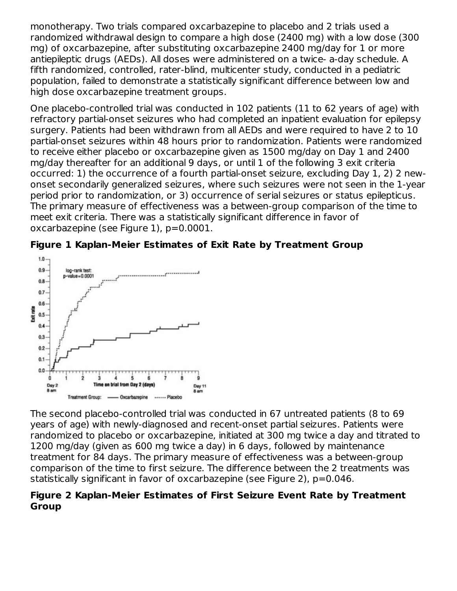monotherapy. Two trials compared oxcarbazepine to placebo and 2 trials used a randomized withdrawal design to compare a high dose (2400 mg) with a low dose (300 mg) of oxcarbazepine, after substituting oxcarbazepine 2400 mg/day for 1 or more antiepileptic drugs (AEDs). All doses were administered on a twice- a-day schedule. A fifth randomized, controlled, rater-blind, multicenter study, conducted in a pediatric population, failed to demonstrate a statistically significant difference between low and high dose oxcarbazepine treatment groups.

One placebo-controlled trial was conducted in 102 patients (11 to 62 years of age) with refractory partial-onset seizures who had completed an inpatient evaluation for epilepsy surgery. Patients had been withdrawn from all AEDs and were required to have 2 to 10 partial-onset seizures within 48 hours prior to randomization. Patients were randomized to receive either placebo or oxcarbazepine given as 1500 mg/day on Day 1 and 2400 mg/day thereafter for an additional 9 days, or until 1 of the following 3 exit criteria occurred: 1) the occurrence of a fourth partial-onset seizure, excluding Day 1, 2) 2 newonset secondarily generalized seizures, where such seizures were not seen in the 1-year period prior to randomization, or 3) occurrence of serial seizures or status epilepticus. The primary measure of effectiveness was a between-group comparison of the time to meet exit criteria. There was a statistically significant difference in favor of oxcarbazepine (see Figure 1), p=0.0001.





The second placebo-controlled trial was conducted in 67 untreated patients (8 to 69 years of age) with newly-diagnosed and recent-onset partial seizures. Patients were randomized to placebo or oxcarbazepine, initiated at 300 mg twice a day and titrated to 1200 mg/day (given as 600 mg twice a day) in 6 days, followed by maintenance treatment for 84 days. The primary measure of effectiveness was a between-group comparison of the time to first seizure. The difference between the 2 treatments was statistically significant in favor of oxcarbazepine (see Figure 2), p=0.046.

#### **Figure 2 Kaplan-Meier Estimates of First Seizure Event Rate by Treatment Group**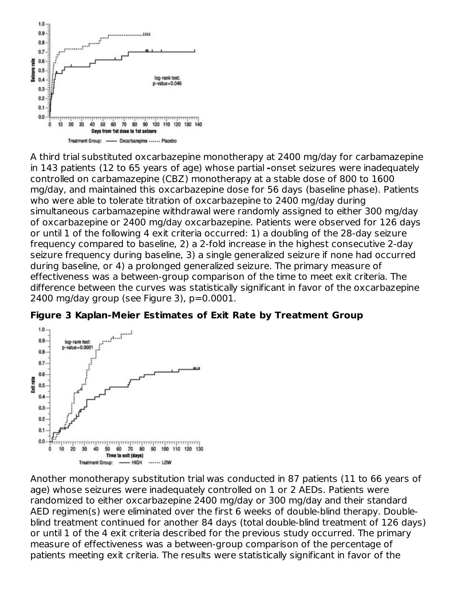

A third trial substituted oxcarbazepine monotherapy at 2400 mg/day for carbamazepine in 143 patients (12 to 65 years of age) whose partial **-**onset seizures were inadequately controlled on carbamazepine (CBZ) monotherapy at a stable dose of 800 to 1600 mg/day, and maintained this oxcarbazepine dose for 56 days (baseline phase). Patients who were able to tolerate titration of oxcarbazepine to 2400 mg/day during simultaneous carbamazepine withdrawal were randomly assigned to either 300 mg/day of oxcarbazepine or 2400 mg/day oxcarbazepine. Patients were observed for 126 days or until 1 of the following 4 exit criteria occurred: 1) a doubling of the 28-day seizure frequency compared to baseline, 2) a 2-fold increase in the highest consecutive 2-day seizure frequency during baseline, 3) a single generalized seizure if none had occurred during baseline, or 4) a prolonged generalized seizure. The primary measure of effectiveness was a between-group comparison of the time to meet exit criteria. The difference between the curves was statistically significant in favor of the oxcarbazepine 2400 mg/day group (see Figure 3), p=0.0001.



#### **Figure 3 Kaplan-Meier Estimates of Exit Rate by Treatment Group**

Another monotherapy substitution trial was conducted in 87 patients (11 to 66 years of age) whose seizures were inadequately controlled on 1 or 2 AEDs. Patients were randomized to either oxcarbazepine 2400 mg/day or 300 mg/day and their standard AED regimen(s) were eliminated over the first 6 weeks of double-blind therapy. Doubleblind treatment continued for another 84 days (total double-blind treatment of 126 days) or until 1 of the 4 exit criteria described for the previous study occurred. The primary measure of effectiveness was a between-group comparison of the percentage of patients meeting exit criteria. The results were statistically significant in favor of the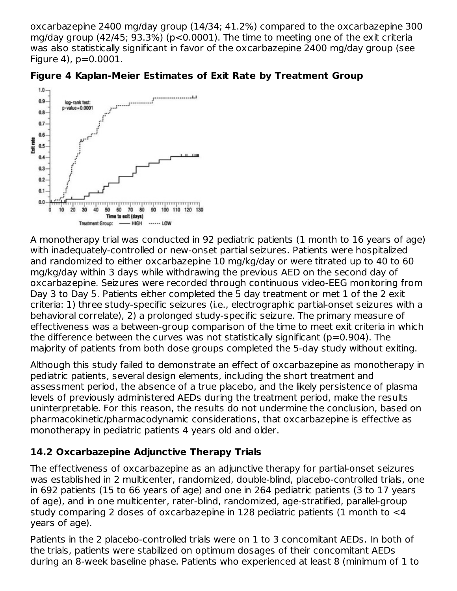oxcarbazepine 2400 mg/day group (14/34; 41.2%) compared to the oxcarbazepine 300 mg/day group (42/45; 93.3%) (p<0.0001). The time to meeting one of the exit criteria was also statistically significant in favor of the oxcarbazepine 2400 mg/day group (see Figure 4), p=0.0001.





A monotherapy trial was conducted in 92 pediatric patients (1 month to 16 years of age) with inadequately-controlled or new-onset partial seizures. Patients were hospitalized and randomized to either oxcarbazepine 10 mg/kg/day or were titrated up to 40 to 60 mg/kg/day within 3 days while withdrawing the previous AED on the second day of oxcarbazepine. Seizures were recorded through continuous video-EEG monitoring from Day 3 to Day 5. Patients either completed the 5 day treatment or met 1 of the 2 exit criteria: 1) three study-specific seizures (i.e., electrographic partial-onset seizures with a behavioral correlate), 2) a prolonged study-specific seizure. The primary measure of effectiveness was a between-group comparison of the time to meet exit criteria in which the difference between the curves was not statistically significant (p=0.904). The majority of patients from both dose groups completed the 5-day study without exiting.

Although this study failed to demonstrate an effect of oxcarbazepine as monotherapy in pediatric patients, several design elements, including the short treatment and assessment period, the absence of a true placebo, and the likely persistence of plasma levels of previously administered AEDs during the treatment period, make the results uninterpretable. For this reason, the results do not undermine the conclusion, based on pharmacokinetic/pharmacodynamic considerations, that oxcarbazepine is effective as monotherapy in pediatric patients 4 years old and older.

## **14.2 Oxcarbazepine Adjunctive Therapy Trials**

The effectiveness of oxcarbazepine as an adjunctive therapy for partial-onset seizures was established in 2 multicenter, randomized, double-blind, placebo-controlled trials, one in 692 patients (15 to 66 years of age) and one in 264 pediatric patients (3 to 17 years of age), and in one multicenter, rater-blind, randomized, age-stratified, parallel-group study comparing 2 doses of oxcarbazepine in 128 pediatric patients (1 month to <4 years of age).

Patients in the 2 placebo-controlled trials were on 1 to 3 concomitant AEDs. In both of the trials, patients were stabilized on optimum dosages of their concomitant AEDs during an 8-week baseline phase. Patients who experienced at least 8 (minimum of 1 to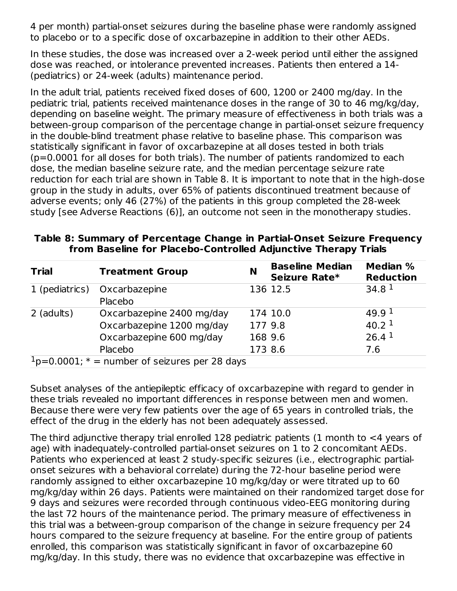4 per month) partial-onset seizures during the baseline phase were randomly assigned to placebo or to a specific dose of oxcarbazepine in addition to their other AEDs.

In these studies, the dose was increased over a 2-week period until either the assigned dose was reached, or intolerance prevented increases. Patients then entered a 14- (pediatrics) or 24-week (adults) maintenance period.

In the adult trial, patients received fixed doses of 600, 1200 or 2400 mg/day. In the pediatric trial, patients received maintenance doses in the range of 30 to 46 mg/kg/day, depending on baseline weight. The primary measure of effectiveness in both trials was a between-group comparison of the percentage change in partial-onset seizure frequency in the double-blind treatment phase relative to baseline phase. This comparison was statistically significant in favor of oxcarbazepine at all doses tested in both trials (p=0.0001 for all doses for both trials). The number of patients randomized to each dose, the median baseline seizure rate, and the median percentage seizure rate reduction for each trial are shown in Table 8. It is important to note that in the high-dose group in the study in adults, over 65% of patients discontinued treatment because of adverse events; only 46 (27%) of the patients in this group completed the 28-week study [see Adverse Reactions (6)], an outcome not seen in the monotherapy studies.

| <b>Trial</b>                                     | <b>Treatment Group</b>       | N       | <b>Baseline Median</b><br>Seizure Rate* | <b>Median %</b><br><b>Reduction</b> |
|--------------------------------------------------|------------------------------|---------|-----------------------------------------|-------------------------------------|
|                                                  | 1 (pediatrics) Oxcarbazepine |         | 136 12.5                                | 34.8 <sup>1</sup>                   |
|                                                  | Placebo                      |         |                                         |                                     |
| 2 (adults)                                       | Oxcarbazepine 2400 mg/day    |         | 174 10.0                                | 49.9 <sup>1</sup>                   |
|                                                  | Oxcarbazepine 1200 mg/day    | 177 9.8 |                                         | 40.2 <sup>1</sup>                   |
|                                                  | Oxcarbazepine 600 mg/day     | 168 9.6 |                                         | 26.4 <sup>1</sup>                   |
|                                                  | Placebo                      | 173 8.6 |                                         | 7.6                                 |
| $1p=0.0001$ ; * = number of seizures per 28 days |                              |         |                                         |                                     |

#### **Table 8: Summary of Percentage Change in Partial-Onset Seizure Frequency from Baseline for Placebo-Controlled Adjunctive Therapy Trials**

Subset analyses of the antiepileptic efficacy of oxcarbazepine with regard to gender in these trials revealed no important differences in response between men and women. Because there were very few patients over the age of 65 years in controlled trials, the effect of the drug in the elderly has not been adequately assessed.

The third adjunctive therapy trial enrolled 128 pediatric patients (1 month to <4 years of age) with inadequately-controlled partial-onset seizures on 1 to 2 concomitant AEDs. Patients who experienced at least 2 study-specific seizures (i.e., electrographic partialonset seizures with a behavioral correlate) during the 72-hour baseline period were randomly assigned to either oxcarbazepine 10 mg/kg/day or were titrated up to 60 mg/kg/day within 26 days. Patients were maintained on their randomized target dose for 9 days and seizures were recorded through continuous video-EEG monitoring during the last 72 hours of the maintenance period. The primary measure of effectiveness in this trial was a between-group comparison of the change in seizure frequency per 24 hours compared to the seizure frequency at baseline. For the entire group of patients enrolled, this comparison was statistically significant in favor of oxcarbazepine 60 mg/kg/day. In this study, there was no evidence that oxcarbazepine was effective in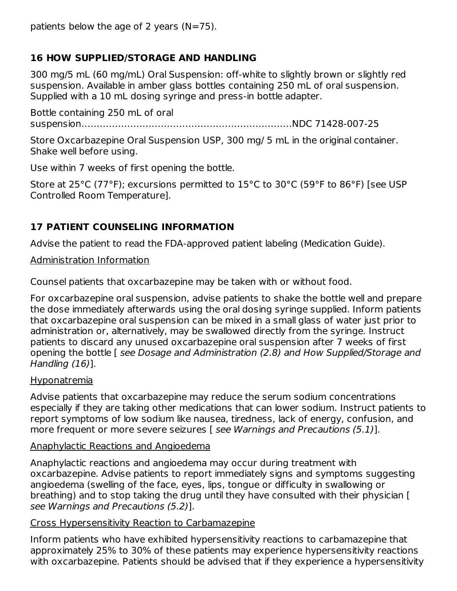patients below the age of 2 years  $(N=75)$ .

### **16 HOW SUPPLIED/STORAGE AND HANDLING**

300 mg/5 mL (60 mg/mL) Oral Suspension: off-white to slightly brown or slightly red suspension. Available in amber glass bottles containing 250 mL of oral suspension. Supplied with a 10 mL dosing syringe and press-in bottle adapter.

Bottle containing 250 mL of oral suspension……………………………………………………………NDC 71428-007-25

Store Oxcarbazepine Oral Suspension USP, 300 mg/ 5 mL in the original container. Shake well before using.

Use within 7 weeks of first opening the bottle.

Store at 25°C (77°F); excursions permitted to 15°C to 30°C (59°F to 86°F) [see USP Controlled Room Temperature].

## **17 PATIENT COUNSELING INFORMATION**

Advise the patient to read the FDA-approved patient labeling (Medication Guide).

Administration Information

Counsel patients that oxcarbazepine may be taken with or without food.

For oxcarbazepine oral suspension, advise patients to shake the bottle well and prepare the dose immediately afterwards using the oral dosing syringe supplied. Inform patients that oxcarbazepine oral suspension can be mixed in a small glass of water just prior to administration or, alternatively, may be swallowed directly from the syringe. Instruct patients to discard any unused oxcarbazepine oral suspension after 7 weeks of first opening the bottle [ see Dosage and Administration (2.8) and How Supplied/Storage and Handling (16)].

#### Hyponatremia

Advise patients that oxcarbazepine may reduce the serum sodium concentrations especially if they are taking other medications that can lower sodium. Instruct patients to report symptoms of low sodium like nausea, tiredness, lack of energy, confusion, and more frequent or more severe seizures [ see Warnings and Precautions (5.1)].

#### Anaphylactic Reactions and Angioedema

Anaphylactic reactions and angioedema may occur during treatment with oxcarbazepine. Advise patients to report immediately signs and symptoms suggesting angioedema (swelling of the face, eyes, lips, tongue or difficulty in swallowing or breathing) and to stop taking the drug until they have consulted with their physician [ see Warnings and Precautions (5.2)].

#### Cross Hypersensitivity Reaction to Carbamazepine

Inform patients who have exhibited hypersensitivity reactions to carbamazepine that approximately 25% to 30% of these patients may experience hypersensitivity reactions with oxcarbazepine. Patients should be advised that if they experience a hypersensitivity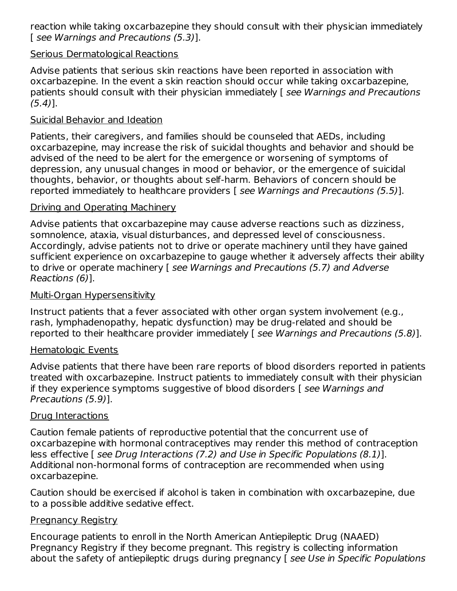reaction while taking oxcarbazepine they should consult with their physician immediately [ see Warnings and Precautions (5.3)].

#### Serious Dermatological Reactions

Advise patients that serious skin reactions have been reported in association with oxcarbazepine. In the event a skin reaction should occur while taking oxcarbazepine, patients should consult with their physician immediately [ see Warnings and Precautions  $(5.4)$ ].

#### Suicidal Behavior and Ideation

Patients, their caregivers, and families should be counseled that AEDs, including oxcarbazepine, may increase the risk of suicidal thoughts and behavior and should be advised of the need to be alert for the emergence or worsening of symptoms of depression, any unusual changes in mood or behavior, or the emergence of suicidal thoughts, behavior, or thoughts about self-harm. Behaviors of concern should be reported immediately to healthcare providers [ see Warnings and Precautions (5.5)].

#### Driving and Operating Machinery

Advise patients that oxcarbazepine may cause adverse reactions such as dizziness, somnolence, ataxia, visual disturbances, and depressed level of consciousness. Accordingly, advise patients not to drive or operate machinery until they have gained sufficient experience on oxcarbazepine to gauge whether it adversely affects their ability to drive or operate machinery [ see Warnings and Precautions (5.7) and Adverse Reactions (6)].

#### Multi-Organ Hypersensitivity

Instruct patients that a fever associated with other organ system involvement (e.g., rash, lymphadenopathy, hepatic dysfunction) may be drug-related and should be reported to their healthcare provider immediately [ see Warnings and Precautions (5.8)].

#### Hematologic Events

Advise patients that there have been rare reports of blood disorders reported in patients treated with oxcarbazepine. Instruct patients to immediately consult with their physician if they experience symptoms suggestive of blood disorders [ see Warnings and Precautions (5.9)].

#### Drug Interactions

Caution female patients of reproductive potential that the concurrent use of oxcarbazepine with hormonal contraceptives may render this method of contraception less effective [ see Drug Interactions (7.2) and Use in Specific Populations (8.1)]. Additional non-hormonal forms of contraception are recommended when using oxcarbazepine.

Caution should be exercised if alcohol is taken in combination with oxcarbazepine, due to a possible additive sedative effect.

#### **Pregnancy Registry**

Encourage patients to enroll in the North American Antiepileptic Drug (NAAED) Pregnancy Registry if they become pregnant. This registry is collecting information about the safety of antiepileptic drugs during pregnancy [see Use in Specific Populations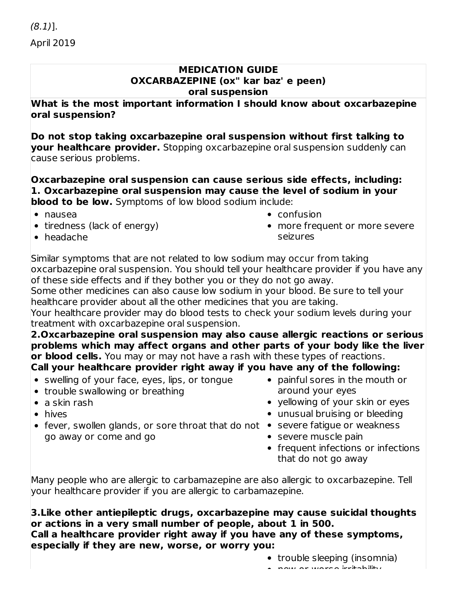#### **MEDICATION GUIDE OXCARBAZEPINE (ox" kar baz' e peen) oral suspension**

**What is the most important information I should know about oxcarbazepine oral suspension?**

**Do not stop taking oxcarbazepine oral suspension without first talking to your healthcare provider.** Stopping oxcarbazepine oral suspension suddenly can cause serious problems.

**Oxcarbazepine oral suspension can cause serious side effects, including: 1. Oxcarbazepine oral suspension may cause the level of sodium in your blood to be low.** Symptoms of low blood sodium include:

- nausea
- $\bullet$  tiredness (lack of energy)
- confusion
- more frequent or more severe seizures

• headache

Similar symptoms that are not related to low sodium may occur from taking oxcarbazepine oral suspension. You should tell your healthcare provider if you have any of these side effects and if they bother you or they do not go away.

Some other medicines can also cause low sodium in your blood. Be sure to tell your healthcare provider about all the other medicines that you are taking.

Your healthcare provider may do blood tests to check your sodium levels during your treatment with oxcarbazepine oral suspension.

**2.Oxcarbazepine oral suspension may also cause allergic reactions or serious problems which may affect organs and other parts of your body like the liver or blood cells.** You may or may not have a rash with these types of reactions. **Call your healthcare provider right away if you have any of the following:**

- swelling of your face, eyes, lips, or tongue
- trouble swallowing or breathing
- a skin rash
- hives
- fever, swollen glands, or sore throat that do not severe fatigue or weakness go away or come and go
- painful sores in the mouth or around your eyes
- yellowing of your skin or eyes
- unusual bruising or bleeding
- - severe muscle pain
	- frequent infections or infections that do not go away

Many people who are allergic to carbamazepine are also allergic to oxcarbazepine. Tell your healthcare provider if you are allergic to carbamazepine.

**3.Like other antiepileptic drugs, oxcarbazepine may cause suicidal thoughts or actions in a very small number of people, about 1 in 500. Call a healthcare provider right away if you have any of these symptoms, especially if they are new, worse, or worry you:**

- trouble sleeping (insomnia)
- now or worse irritability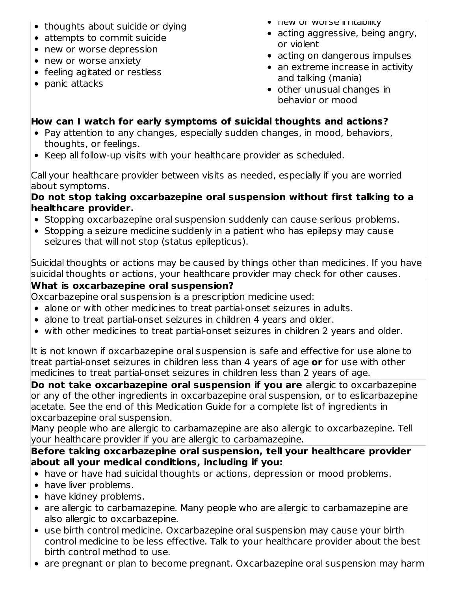- thoughts about suicide or dying
- attempts to commit suicide
- new or worse depression
- new or worse anxiety
- feeling agitated or restless
- $\bullet$  panic attacks
- **THEW OF WOLSE IFFILADIIILY**
- acting aggressive, being angry, or violent
- acting on dangerous impulses
- an extreme increase in activity and talking (mania)
- other unusual changes in behavior or mood

## **How can I watch for early symptoms of suicidal thoughts and actions?**

- Pay attention to any changes, especially sudden changes, in mood, behaviors, thoughts, or feelings.
- Keep all follow-up visits with your healthcare provider as scheduled.

Call your healthcare provider between visits as needed, especially if you are worried about symptoms.

### **Do not stop taking oxcarbazepine oral suspension without first talking to a healthcare provider.**

- Stopping oxcarbazepine oral suspension suddenly can cause serious problems.
- Stopping a seizure medicine suddenly in a patient who has epilepsy may cause seizures that will not stop (status epilepticus).

Suicidal thoughts or actions may be caused by things other than medicines. If you have suicidal thoughts or actions, your healthcare provider may check for other causes.

## **What is oxcarbazepine oral suspension?**

Oxcarbazepine oral suspension is a prescription medicine used:

- alone or with other medicines to treat partial-onset seizures in adults.
- alone to treat partial-onset seizures in children 4 years and older.
- with other medicines to treat partial-onset seizures in children 2 years and older.

It is not known if oxcarbazepine oral suspension is safe and effective for use alone to treat partial-onset seizures in children less than 4 years of age **or** for use with other medicines to treat partial-onset seizures in children less than 2 years of age.

**Do not take oxcarbazepine oral suspension if you are** allergic to oxcarbazepine or any of the other ingredients in oxcarbazepine oral suspension, or to eslicarbazepine acetate. See the end of this Medication Guide for a complete list of ingredients in oxcarbazepine oral suspension.

Many people who are allergic to carbamazepine are also allergic to oxcarbazepine. Tell your healthcare provider if you are allergic to carbamazepine.

### **Before taking oxcarbazepine oral suspension, tell your healthcare provider about all your medical conditions, including if you:**

- have or have had suicidal thoughts or actions, depression or mood problems.
- have liver problems.
- have kidney problems.
- are allergic to carbamazepine. Many people who are allergic to carbamazepine are also allergic to oxcarbazepine.
- use birth control medicine. Oxcarbazepine oral suspension may cause your birth control medicine to be less effective. Talk to your healthcare provider about the best birth control method to use.
- are pregnant or plan to become pregnant. Oxcarbazepine oral suspension may harm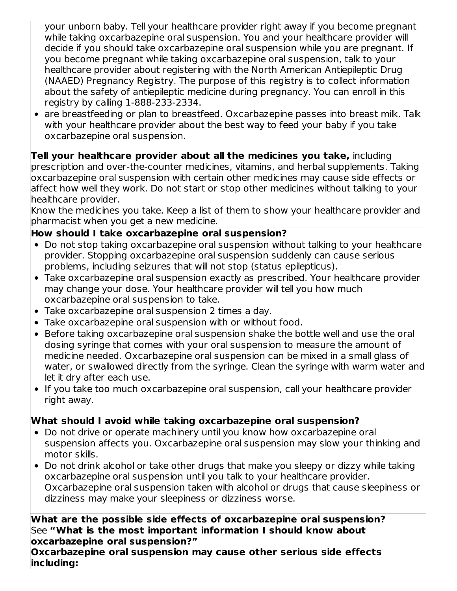your unborn baby. Tell your healthcare provider right away if you become pregnant while taking oxcarbazepine oral suspension. You and your healthcare provider will decide if you should take oxcarbazepine oral suspension while you are pregnant. If you become pregnant while taking oxcarbazepine oral suspension, talk to your healthcare provider about registering with the North American Antiepileptic Drug (NAAED) Pregnancy Registry. The purpose of this registry is to collect information about the safety of antiepileptic medicine during pregnancy. You can enroll in this registry by calling 1-888-233-2334.

are breastfeeding or plan to breastfeed. Oxcarbazepine passes into breast milk. Talk with your healthcare provider about the best way to feed your baby if you take oxcarbazepine oral suspension.

## **Tell your healthcare provider about all the medicines you take,** including

prescription and over-the-counter medicines, vitamins, and herbal supplements. Taking oxcarbazepine oral suspension with certain other medicines may cause side effects or affect how well they work. Do not start or stop other medicines without talking to your healthcare provider.

Know the medicines you take. Keep a list of them to show your healthcare provider and pharmacist when you get a new medicine.

### **How should I take oxcarbazepine oral suspension?**

- Do not stop taking oxcarbazepine oral suspension without talking to your healthcare provider. Stopping oxcarbazepine oral suspension suddenly can cause serious problems, including seizures that will not stop (status epilepticus).
- Take oxcarbazepine oral suspension exactly as prescribed. Your healthcare provider may change your dose. Your healthcare provider will tell you how much oxcarbazepine oral suspension to take.
- Take oxcarbazepine oral suspension 2 times a day.
- Take oxcarbazepine oral suspension with or without food.
- Before taking oxcarbazepine oral suspension shake the bottle well and use the oral dosing syringe that comes with your oral suspension to measure the amount of medicine needed. Oxcarbazepine oral suspension can be mixed in a small glass of water, or swallowed directly from the syringe. Clean the syringe with warm water and let it dry after each use.
- If you take too much oxcarbazepine oral suspension, call your healthcare provider right away.

## **What should I avoid while taking oxcarbazepine oral suspension?**

- Do not drive or operate machinery until you know how oxcarbazepine oral suspension affects you. Oxcarbazepine oral suspension may slow your thinking and motor skills.
- Do not drink alcohol or take other drugs that make you sleepy or dizzy while taking oxcarbazepine oral suspension until you talk to your healthcare provider. Oxcarbazepine oral suspension taken with alcohol or drugs that cause sleepiness or dizziness may make your sleepiness or dizziness worse.

### **What are the possible side effects of oxcarbazepine oral suspension?** See **"What is the most important information I should know about oxcarbazepine oral suspension?"**

**Oxcarbazepine oral suspension may cause other serious side effects including:**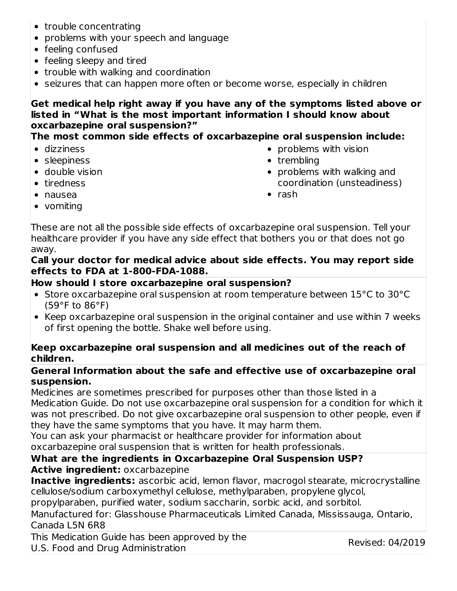- trouble concentrating
- problems with your speech and language
- feeling confused
- feeling sleepy and tired
- trouble with walking and coordination
- seizures that can happen more often or become worse, especially in children

#### **Get medical help right away if you have any of the symptoms listed above or listed in "What is the most important information I should know about oxcarbazepine oral suspension?"**

**The most common side effects of oxcarbazepine oral suspension include:**

- dizziness
- sleepiness
- double vision
- tiredness

coordination (unsteadiness)  $\bullet$  rash

 $\bullet$  problems with vision

• problems with walking and

• trembling

- nausea
- vomiting

These are not all the possible side effects of oxcarbazepine oral suspension. Tell your healthcare provider if you have any side effect that bothers you or that does not go away.

#### **Call your doctor for medical advice about side effects. You may report side effects to FDA at 1-800-FDA-1088.**

#### **How should I store oxcarbazepine oral suspension?**

- Store oxcarbazepine oral suspension at room temperature between 15°C to 30°C (59°F to 86°F)
- Keep oxcarbazepine oral suspension in the original container and use within 7 weeks of first opening the bottle. Shake well before using.

#### **Keep oxcarbazepine oral suspension and all medicines out of the reach of children.**

#### **General Information about the safe and effective use of oxcarbazepine oral suspension.**

Medicines are sometimes prescribed for purposes other than those listed in a Medication Guide. Do not use oxcarbazepine oral suspension for a condition for which it was not prescribed. Do not give oxcarbazepine oral suspension to other people, even if they have the same symptoms that you have. It may harm them.

You can ask your pharmacist or healthcare provider for information about oxcarbazepine oral suspension that is written for health professionals.

#### **What are the ingredients in Oxcarbazepine Oral Suspension USP? Active ingredient:** oxcarbazepine

**Inactive ingredients:** ascorbic acid, lemon flavor, macrogol stearate, microcrystalline cellulose/sodium carboxymethyl cellulose, methylparaben, propylene glycol, propylparaben, purified water, sodium saccharin, sorbic acid, and sorbitol.

Manufactured for: Glasshouse Pharmaceuticals Limited Canada, Mississauga, Ontario,

#### Canada L5N 6R8

This Medication Guide has been approved by the U.S. Food and Drug Administration

Revised: 04/2019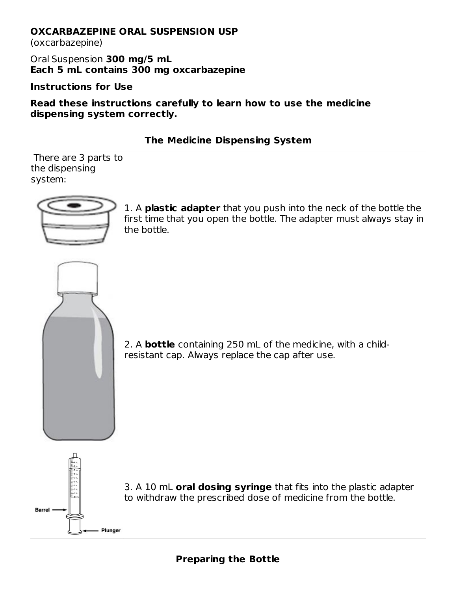#### **OXCARBAZEPINE ORAL SUSPENSION USP**

(oxcarbazepine)

Oral Suspension **300 mg/5 mL Each 5 mL contains 300 mg oxcarbazepine**

**Instructions for Use**

**Read these instructions carefully to learn how to use the medicine dispensing system correctly.**

### **The Medicine Dispensing System**

There are 3 parts to the dispensing system:



1. A **plastic adapter** that you push into the neck of the bottle the first time that you open the bottle. The adapter must always stay in the bottle.



2. A **bottle** containing 250 mL of the medicine, with a childresistant cap. Always replace the cap after use.



3. A 10 mL **oral dosing syringe** that fits into the plastic adapter to withdraw the prescribed dose of medicine from the bottle.

### **Preparing the Bottle**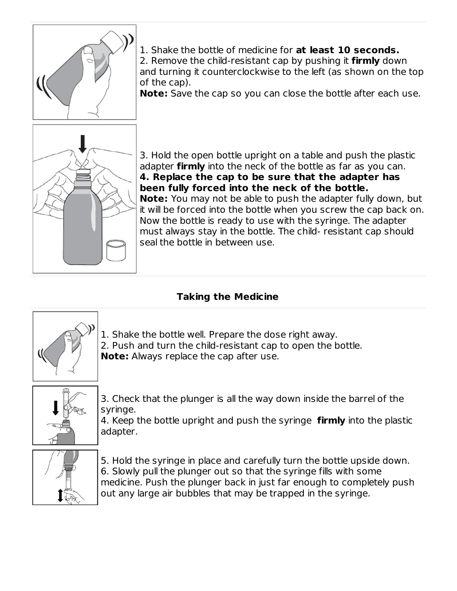

1. Shake the bottle of medicine for **at least 10 seconds.**

2. Remove the child-resistant cap by pushing it **firmly** down and turning it counterclockwise to the left (as shown on the top of the cap).

**Note:** Save the cap so you can close the bottle after each use.



3. Hold the open bottle upright on a table and push the plastic adapter **firmly** into the neck of the bottle as far as you can. **4. Replace the cap to be sure that the adapter has been fully forced into the neck of the bottle. Note:** You may not be able to push the adapter fully down, but it will be forced into the bottle when you screw the cap back on. Now the bottle is ready to use with the syringe. The adapter must always stay in the bottle. The child- resistant cap should seal the bottle in between use.

# **Taking the Medicine**



1. Shake the bottle well. Prepare the dose right away. 2. Push and turn the child-resistant cap to open the bottle. **Note:** Always replace the cap after use.



3. Check that the plunger is all the way down inside the barrel of the syringe.

4. Keep the bottle upright and push the syringe **firmly** into the plastic adapter.



5. Hold the syringe in place and carefully turn the bottle upside down. 6. Slowly pull the plunger out so that the syringe fills with some medicine. Push the plunger back in just far enough to completely push out any large air bubbles that may be trapped in the syringe.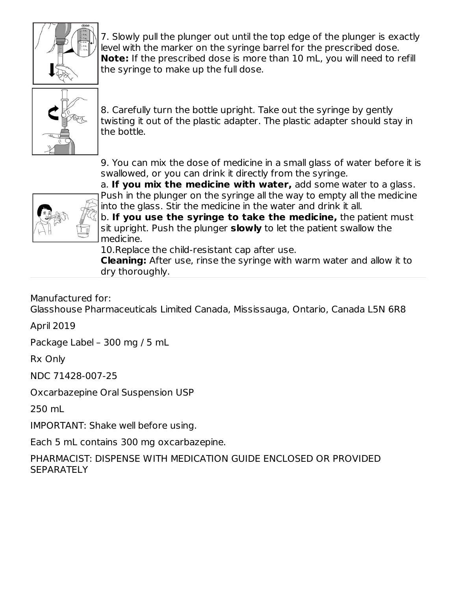

7. Slowly pull the plunger out until the top edge of the plunger is exactly level with the marker on the syringe barrel for the prescribed dose. **Note:** If the prescribed dose is more than 10 mL, you will need to refill the syringe to make up the full dose.



8. Carefully turn the bottle upright. Take out the syringe by gently twisting it out of the plastic adapter. The plastic adapter should stay in the bottle.

9. You can mix the dose of medicine in a small glass of water before it is swallowed, or you can drink it directly from the syringe.



a. **If you mix the medicine with water,** add some water to a glass. Push in the plunger on the syringe all the way to empty all the medicine into the glass. Stir the medicine in the water and drink it all.

b. **If you use the syringe to take the medicine,** the patient must sit upright. Push the plunger **slowly** to let the patient swallow the medicine.

10.Replace the child-resistant cap after use.

**Cleaning:** After use, rinse the syringe with warm water and allow it to dry thoroughly.

Manufactured for:

Glasshouse Pharmaceuticals Limited Canada, Mississauga, Ontario, Canada L5N 6R8

April 2019

Package Label – 300 mg / 5 mL

Rx Only

NDC 71428-007-25

Oxcarbazepine Oral Suspension USP

250 mL

IMPORTANT: Shake well before using.

Each 5 mL contains 300 mg oxcarbazepine.

PHARMACIST: DISPENSE WITH MEDICATION GUIDE ENCLOSED OR PROVIDED **SEPARATELY**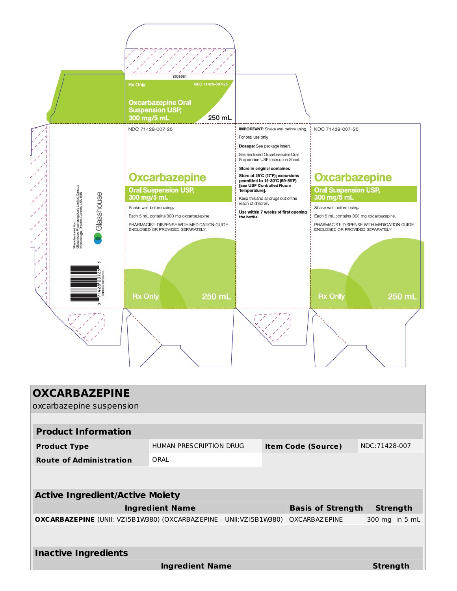

| <b>OXCARBAZEPINE</b><br>oxcarbazepine suspension                          |                         |  |                           |                 |  |  |
|---------------------------------------------------------------------------|-------------------------|--|---------------------------|-----------------|--|--|
|                                                                           |                         |  |                           |                 |  |  |
| <b>Product Information</b>                                                |                         |  |                           |                 |  |  |
| <b>Product Type</b>                                                       | HUMAN PRESCRIPTION DRUG |  | <b>Item Code (Source)</b> | NDC: 71428-007  |  |  |
| <b>Route of Administration</b>                                            | ORAL                    |  |                           |                 |  |  |
|                                                                           |                         |  |                           |                 |  |  |
| <b>Active Ingredient/Active Moiety</b>                                    |                         |  |                           |                 |  |  |
|                                                                           | <b>Ingredient Name</b>  |  | <b>Basis of Strength</b>  | <b>Strength</b> |  |  |
| <b>OXCARBAZEPINE</b> (UNII: VZ15B1W380) (OXCARBAZEPINE - UNII:VZ15B1W380) |                         |  | OXCARBAZ EPINE            | 300 mg in 5 mL  |  |  |
|                                                                           |                         |  |                           |                 |  |  |
| <b>Inactive Ingredients</b>                                               |                         |  |                           |                 |  |  |
|                                                                           | <b>Ingredient Name</b>  |  |                           | Strength        |  |  |